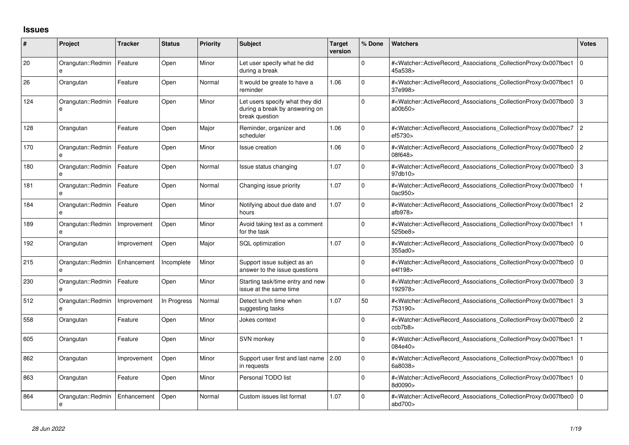## **Issues**

| #   | <b>Project</b>                    | <b>Tracker</b> | <b>Status</b> | <b>Priority</b> | <b>Subject</b>                                                                      | <b>Target</b><br>version | % Done      | <b>Watchers</b>                                                                                                                                   | <b>Votes</b>   |
|-----|-----------------------------------|----------------|---------------|-----------------|-------------------------------------------------------------------------------------|--------------------------|-------------|---------------------------------------------------------------------------------------------------------------------------------------------------|----------------|
| 20  | Orangutan::Redmin<br>$\mathbf{e}$ | Feature        | Open          | Minor           | Let user specify what he did<br>during a break                                      |                          | 0           | # <watcher::activerecord_associations_collectionproxy:0x007fbec1<br>45a538&gt;</watcher::activerecord_associations_collectionproxy:0x007fbec1<br> | l o            |
| 26  | Orangutan                         | Feature        | Open          | Normal          | It would be greate to have a<br>reminder                                            | 1.06                     | $\Omega$    | # <watcher::activerecord associations="" collectionproxy:0x007fbec1<br="">37e998&gt;</watcher::activerecord>                                      | $\overline{0}$ |
| 124 | Orangutan::Redmin<br>e            | Feature        | Open          | Minor           | Let users specify what they did<br>during a break by answering on<br>break question |                          | $\Omega$    | # <watcher::activerecord_associations_collectionproxy:0x007fbec0<br>a00b50&gt;</watcher::activerecord_associations_collectionproxy:0x007fbec0<br> | IЗ             |
| 128 | Orangutan                         | Feature        | Open          | Major           | Reminder, organizer and<br>scheduler                                                | 1.06                     | $\Omega$    | # <watcher::activerecord associations="" collectionproxy:0x007fbec7<br="">ef5730&gt;</watcher::activerecord>                                      | $\vert$ 2      |
| 170 | Orangutan::Redmin<br>$\theta$     | Feature        | Open          | Minor           | <b>Issue creation</b>                                                               | 1.06                     | $\Omega$    | # <watcher::activerecord associations="" collectionproxy:0x007fbec0<br="">08f648&gt;</watcher::activerecord>                                      | $\vert$ 2      |
| 180 | Orangutan::Redmin<br>e            | Feature        | Open          | Normal          | Issue status changing                                                               | 1.07                     | $\Omega$    | # <watcher::activerecord_associations_collectionproxy:0x007fbec0<br>97db10&gt;</watcher::activerecord_associations_collectionproxy:0x007fbec0<br> | $\overline{3}$ |
| 181 | Orangutan::Redmin<br>$\theta$     | Feature        | Open          | Normal          | Changing issue priority                                                             | 1.07                     | $\Omega$    | # <watcher::activerecord_associations_collectionproxy:0x007fbec0<br>0ac950&gt;</watcher::activerecord_associations_collectionproxy:0x007fbec0<br> |                |
| 184 | Orangutan::Redmin<br>e            | Feature        | Open          | Minor           | Notifying about due date and<br>hours                                               | 1.07                     | $\mathbf 0$ | # <watcher::activerecord associations="" collectionproxy:0x007fbec1<br="">afb<math>978</math></watcher::activerecord>                             | $\vert$ 2      |
| 189 | Orangutan::Redmin<br>e            | Improvement    | Open          | Minor           | Avoid taking text as a comment<br>for the task                                      |                          | $\Omega$    | # <watcher::activerecord_associations_collectionproxy:0x007fbec1<br>525be8&gt;</watcher::activerecord_associations_collectionproxy:0x007fbec1<br> |                |
| 192 | Orangutan                         | Improvement    | Open          | Major           | <b>SQL</b> optimization                                                             | 1.07                     | 0           | # <watcher::activerecord_associations_collectionproxy:0x007fbec0<br>355ad0&gt;</watcher::activerecord_associations_collectionproxy:0x007fbec0<br> | l o            |
| 215 | Orangutan::Redmin<br>$\theta$     | Enhancement    | Incomplete    | Minor           | Support issue subject as an<br>answer to the issue questions                        |                          | $\Omega$    | # <watcher::activerecord_associations_collectionproxy:0x007fbec0<br>e4f198&gt;</watcher::activerecord_associations_collectionproxy:0x007fbec0<br> | $\overline{0}$ |
| 230 | Orangutan::Redmin                 | Feature        | Open          | Minor           | Starting task/time entry and new<br>issue at the same time                          |                          | $\Omega$    | # <watcher::activerecord associations="" collectionproxy:0x007fbec0<br="">192978&gt;</watcher::activerecord>                                      | Iз             |
| 512 | Orangutan::Redmin                 | Improvement    | In Progress   | Normal          | Detect lunch time when<br>suggesting tasks                                          | 1.07                     | 50          | # <watcher::activerecord_associations_collectionproxy:0x007fbec1<br>753190&gt;</watcher::activerecord_associations_collectionproxy:0x007fbec1<br> | $\mathbf{13}$  |
| 558 | Orangutan                         | Feature        | Open          | Minor           | Jokes context                                                                       |                          | $\Omega$    | # <watcher::activerecord_associations_collectionproxy:0x007fbec0<br>ccb7b8&gt;</watcher::activerecord_associations_collectionproxy:0x007fbec0<br> | 2              |
| 605 | Orangutan                         | Feature        | Open          | Minor           | SVN monkey                                                                          |                          | $\Omega$    | # <watcher::activerecord associations="" collectionproxy:0x007fbec1<br="">084e40&gt;</watcher::activerecord>                                      |                |
| 862 | Orangutan                         | Improvement    | Open          | Minor           | Support user first and last name 2.00<br>in requests                                |                          | $\Omega$    | # <watcher::activerecord_associations_collectionproxy:0x007fbec1<br>6a8038&gt;</watcher::activerecord_associations_collectionproxy:0x007fbec1<br> | l o            |
| 863 | Orangutan                         | Feature        | Open          | Minor           | Personal TODO list                                                                  |                          | $\mathbf 0$ | # <watcher::activerecord associations="" collectionproxy:0x007fbec1<br="">8d0090&gt;</watcher::activerecord>                                      | $\overline{0}$ |
| 864 | Orangutan::Redmin<br>e            | Enhancement    | Open          | Normal          | Custom issues list format                                                           | 1.07                     | 0           | # <watcher::activerecord_associations_collectionproxy:0x007fbec0<br>abd700&gt;</watcher::activerecord_associations_collectionproxy:0x007fbec0<br> | l o            |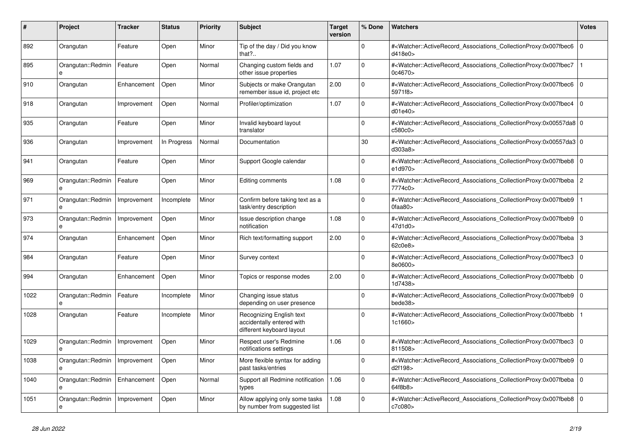| #    | <b>Project</b>         | Tracker     | <b>Status</b> | <b>Priority</b> | <b>Subject</b>                                                                     | <b>Target</b><br>version | % Done      | <b>Watchers</b>                                                                                                                                          | <b>Votes</b>   |
|------|------------------------|-------------|---------------|-----------------|------------------------------------------------------------------------------------|--------------------------|-------------|----------------------------------------------------------------------------------------------------------------------------------------------------------|----------------|
| 892  | Orangutan              | Feature     | Open          | Minor           | Tip of the day / Did you know<br>that? $\ldots$                                    |                          | $\Omega$    | # <watcher::activerecord_associations_collectionproxy:0x007fbec6<br>d418e0&gt;</watcher::activerecord_associations_collectionproxy:0x007fbec6<br>        | $\overline{0}$ |
| 895  | Orangutan::Redmin<br>e | Feature     | Open          | Normal          | Changing custom fields and<br>other issue properties                               | 1.07                     | $\Omega$    | # <watcher::activerecord_associations_collectionproxy:0x007fbec7<br>0c4670&gt;</watcher::activerecord_associations_collectionproxy:0x007fbec7<br>        |                |
| 910  | Orangutan              | Enhancement | Open          | Minor           | Subjects or make Orangutan<br>remember issue id, project etc                       | 2.00                     | $\mathbf 0$ | # <watcher::activerecord_associations_collectionproxy:0x007fbec6 0<br=""  ="">5971f8&gt;</watcher::activerecord_associations_collectionproxy:0x007fbec6> |                |
| 918  | Orangutan              | Improvement | Open          | Normal          | Profiler/optimization                                                              | 1.07                     | $\Omega$    | # <watcher::activerecord_associations_collectionproxy:0x007fbec4<br>d01e40</watcher::activerecord_associations_collectionproxy:0x007fbec4<br>            | $\Omega$       |
| 935  | Orangutan              | Feature     | Open          | Minor           | Invalid keyboard layout<br>translator                                              |                          | $\mathbf 0$ | # <watcher::activerecord_associations_collectionproxy:0x00557da8 0<br="">c580c0&gt;</watcher::activerecord_associations_collectionproxy:0x00557da8>      |                |
| 936  | Orangutan              | Improvement | In Progress   | Normal          | Documentation                                                                      |                          | 30          | # <watcher::activerecord_associations_collectionproxy:0x00557da3 0<br=""  ="">d303a8&gt;</watcher::activerecord_associations_collectionproxy:0x00557da3> |                |
| 941  | Orangutan              | Feature     | Open          | Minor           | Support Google calendar                                                            |                          | $\Omega$    | # <watcher::activerecord_associations_collectionproxy:0x007fbeb8<br>e1d970&gt;</watcher::activerecord_associations_collectionproxy:0x007fbeb8<br>        | $\overline{0}$ |
| 969  | Orangutan::Redmin<br>e | Feature     | Open          | Minor           | Editing comments                                                                   | 1.08                     | $\Omega$    | # <watcher::activerecord_associations_collectionproxy:0x007fbeba 2<br="">7774c0&gt;</watcher::activerecord_associations_collectionproxy:0x007fbeba>      |                |
| 971  | Orangutan::Redmin<br>e | Improvement | Incomplete    | Minor           | Confirm before taking text as a<br>task/entry description                          |                          | $\Omega$    | # <watcher::activerecord associations="" collectionproxy:0x007fbeb9<br=""><math>0</math>faa<math>80</math></watcher::activerecord>                       |                |
| 973  | Orangutan::Redmin      | Improvement | Open          | Minor           | Issue description change<br>notification                                           | 1.08                     | $\Omega$    | # <watcher::activerecord_associations_collectionproxy:0x007fbeb9 0<br=""  ="">47d1d0&gt;</watcher::activerecord_associations_collectionproxy:0x007fbeb9> |                |
| 974  | Orangutan              | Enhancement | Open          | Minor           | Rich text/formatting support                                                       | 2.00                     | $\mathbf 0$ | # <watcher::activerecord_associations_collectionproxy:0x007fbeba 3<br=""  ="">62c0e8&gt;</watcher::activerecord_associations_collectionproxy:0x007fbeba> |                |
| 984  | Orangutan              | Feature     | Open          | Minor           | Survey context                                                                     |                          | $\Omega$    | # <watcher::activerecord_associations_collectionproxy:0x007fbec3<br>8e0600&gt;</watcher::activerecord_associations_collectionproxy:0x007fbec3<br>        | $\overline{0}$ |
| 994  | Orangutan              | Enhancement | Open          | Minor           | Topics or response modes                                                           | 2.00                     | $\Omega$    | # <watcher::activerecord associations="" collectionproxy:0x007fbebb<br="">1d7438&gt;</watcher::activerecord>                                             | $\overline{0}$ |
| 1022 | Orangutan::Redmin<br>e | Feature     | Incomplete    | Minor           | Changing issue status<br>depending on user presence                                |                          | $\mathbf 0$ | # <watcher::activerecord 0<br="" associations="" collectionproxy:0x007fbeb9=""  ="">bede38&gt;</watcher::activerecord>                                   |                |
| 1028 | Orangutan              | Feature     | Incomplete    | Minor           | Recognizing English text<br>accidentally entered with<br>different keyboard layout |                          | $\Omega$    | # <watcher::activerecord_associations_collectionproxy:0x007fbebb<br>1c1660&gt;</watcher::activerecord_associations_collectionproxy:0x007fbebb<br>        |                |
| 1029 | Orangutan::Redmin<br>e | Improvement | Open          | Minor           | Respect user's Redmine<br>notifications settings                                   | 1.06                     | $\mathbf 0$ | # <watcher::activerecord associations="" collectionproxy:0x007fbec3<br="">811508&gt;</watcher::activerecord>                                             | $\mathbf 0$    |
| 1038 | Orangutan::Redmin      | Improvement | Open          | Minor           | More flexible syntax for adding<br>past tasks/entries                              |                          | $\Omega$    | # <watcher::activerecord_associations_collectionproxy:0x007fbeb9 0<br=""  ="">d2f198&gt;</watcher::activerecord_associations_collectionproxy:0x007fbeb9> |                |
| 1040 | Orangutan::Redmin<br>e | Enhancement | Open          | Normal          | Support all Redmine notification<br>types                                          | 1.06                     | $\Omega$    | # <watcher::activerecord_associations_collectionproxy:0x007fbeba 0<br=""  ="">64f8b8&gt;</watcher::activerecord_associations_collectionproxy:0x007fbeba> |                |
| 1051 | Orangutan::Redmin<br>e | Improvement | Open          | Minor           | Allow applying only some tasks<br>by number from suggested list                    | 1.08                     | $\Omega$    | # <watcher::activerecord_associations_collectionproxy:0x007fbeb8 0<br="">c7c080&gt;</watcher::activerecord_associations_collectionproxy:0x007fbeb8>      |                |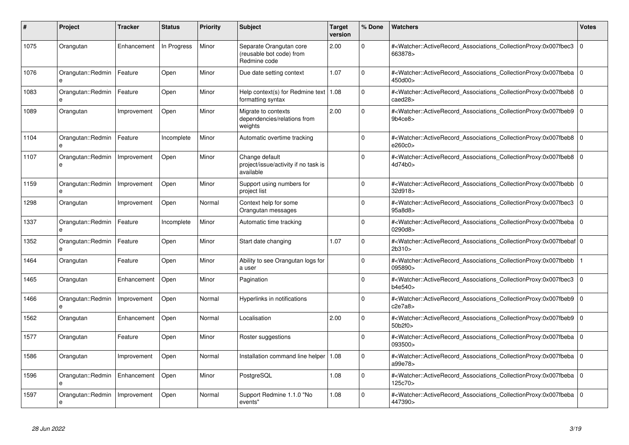| #    | <b>Project</b>         | <b>Tracker</b> | <b>Status</b> | <b>Priority</b> | <b>Subject</b>                                                      | <b>Target</b><br>version | % Done      | <b>Watchers</b>                                                                                                                                       | Votes       |
|------|------------------------|----------------|---------------|-----------------|---------------------------------------------------------------------|--------------------------|-------------|-------------------------------------------------------------------------------------------------------------------------------------------------------|-------------|
| 1075 | Orangutan              | Enhancement    | In Progress   | Minor           | Separate Orangutan core<br>(reusable bot code) from<br>Redmine code | 2.00                     | $\Omega$    | # <watcher::activerecord associations="" collectionproxy:0x007fbec3<br="">663878&gt;</watcher::activerecord>                                          | $\Omega$    |
| 1076 | Orangutan::Redmin      | Feature        | Open          | Minor           | Due date setting context                                            | 1.07                     | $\Omega$    | # <watcher::activerecord associations="" collectionproxy:0x007fbeba<br="">450d00&gt;</watcher::activerecord>                                          | l O         |
| 1083 | Orangutan::Redmin<br>e | Feature        | Open          | Minor           | Help context(s) for Redmine text   $1.08$<br>formatting syntax      |                          | 0           | # <watcher::activerecord associations="" collectionproxy:0x007fbeb8<br="">caed28&gt;</watcher::activerecord>                                          | l O         |
| 1089 | Orangutan              | Improvement    | Open          | Minor           | Migrate to contexts<br>dependencies/relations from<br>weights       | 2.00                     | 0           | # <watcher::activerecord_associations_collectionproxy:0x007fbeb9<br>9b4ce8&gt;</watcher::activerecord_associations_collectionproxy:0x007fbeb9<br>     | $\Omega$    |
| 1104 | Orangutan::Redmin<br>e | Feature        | Incomplete    | Minor           | Automatic overtime tracking                                         |                          | $\Omega$    | # <watcher::activerecord 0<br="" associations="" collectionproxy:0x007fbeb8=""  ="">e260c0&gt;</watcher::activerecord>                                |             |
| 1107 | Orangutan::Redmin<br>e | Improvement    | Open          | Minor           | Change default<br>project/issue/activity if no task is<br>available |                          | $\Omega$    | # <watcher::activerecord 0<br="" associations="" collectionproxy:0x007fbeb8=""  ="">4d74b0&gt;</watcher::activerecord>                                |             |
| 1159 | Orangutan::Redmin      | Improvement    | Open          | Minor           | Support using numbers for<br>project list                           |                          | 0           | # <watcher::activerecord associations="" collectionproxy:0x007fbebb<br="">32d918&gt;</watcher::activerecord>                                          | $\Omega$    |
| 1298 | Orangutan              | Improvement    | Open          | Normal          | Context help for some<br>Orangutan messages                         |                          | $\Omega$    | # <watcher::activerecord associations="" collectionproxy:0x007fbec3<br="">95a8d8&gt;</watcher::activerecord>                                          | $\Omega$    |
| 1337 | Orangutan::Redmin<br>e | Feature        | Incomplete    | Minor           | Automatic time tracking                                             |                          | $\Omega$    | # <watcher::activerecord_associations_collectionproxy:0x007fbeba<br>0290d8&gt;</watcher::activerecord_associations_collectionproxy:0x007fbeba<br>     | $\Omega$    |
| 1352 | Orangutan::Redmin<br>e | Feature        | Open          | Minor           | Start date changing                                                 | 1.07                     | $\Omega$    | # <watcher::activerecord_associations_collectionproxy:0x007fbebaf 0<br=""  ="">2b310</watcher::activerecord_associations_collectionproxy:0x007fbebaf> |             |
| 1464 | Orangutan              | Feature        | Open          | Minor           | Ability to see Orangutan logs for<br>a user                         |                          | $\Omega$    | # <watcher::activerecord associations="" collectionproxy:0x007fbebb<br="">095890&gt;</watcher::activerecord>                                          |             |
| 1465 | Orangutan              | Enhancement    | Open          | Minor           | Pagination                                                          |                          | $\Omega$    | # <watcher::activerecord associations="" collectionproxy:0x007fbec3<br="">b4e540&gt;</watcher::activerecord>                                          | $\mathbf 0$ |
| 1466 | Orangutan::Redmin<br>e | Improvement    | Open          | Normal          | Hyperlinks in notifications                                         |                          | $\Omega$    | # <watcher::activerecord associations="" collectionproxy:0x007fbeb9<br="">c2e7a8&gt;</watcher::activerecord>                                          | l O         |
| 1562 | Orangutan              | Enhancement    | Open          | Normal          | Localisation                                                        | 2.00                     | $\Omega$    | # <watcher::activerecord_associations_collectionproxy:0x007fbeb9<br>50b2f0&gt;</watcher::activerecord_associations_collectionproxy:0x007fbeb9<br>     | $\Omega$    |
| 1577 | Orangutan              | Feature        | Open          | Minor           | Roster suggestions                                                  |                          | $\Omega$    | # <watcher::activerecord associations="" collectionproxy:0x007fbeba<br="">093500&gt;</watcher::activerecord>                                          | $\Omega$    |
| 1586 | Orangutan              | Improvement    | Open          | Normal          | Installation command line helper   1.08                             |                          | $\Omega$    | # <watcher::activerecord_associations_collectionproxy:0x007fbeba<br>a99e78&gt;</watcher::activerecord_associations_collectionproxy:0x007fbeba<br>     | $\mathbf 0$ |
| 1596 | Orangutan::Redmin<br>e | Enhancement    | Open          | Minor           | PostgreSQL                                                          | 1.08                     | $\mathbf 0$ | # <watcher::activerecord_associations_collectionproxy:0x007fbeba<br>125c70&gt;</watcher::activerecord_associations_collectionproxy:0x007fbeba<br>     | l o         |
| 1597 | Orangutan::Redmin<br>e | Improvement    | Open          | Normal          | Support Redmine 1.1.0 "No<br>events"                                | 1.08                     | $\Omega$    | # <watcher::activerecord 0<br="" associations="" collectionproxy:0x007fbeba=""  ="">447390&gt;</watcher::activerecord>                                |             |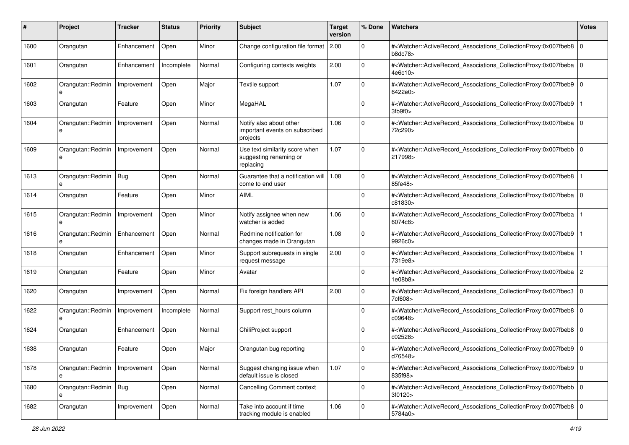| #    | Project                      | <b>Tracker</b> | <b>Status</b> | <b>Priority</b> | <b>Subject</b>                                                        | <b>Target</b><br>version | % Done      | Watchers                                                                                                                                                 | <b>Votes</b> |
|------|------------------------------|----------------|---------------|-----------------|-----------------------------------------------------------------------|--------------------------|-------------|----------------------------------------------------------------------------------------------------------------------------------------------------------|--------------|
| 1600 | Orangutan                    | Enhancement    | Open          | Minor           | Change configuration file format                                      | 2.00                     | $\mathbf 0$ | # <watcher::activerecord 0<br="" associations="" collectionproxy:0x007fbeb8="">b8dc78</watcher::activerecord>                                            |              |
| 1601 | Orangutan                    | Enhancement    | Incomplete    | Normal          | Configuring contexts weights                                          | 2.00                     | $\mathbf 0$ | # <watcher::activerecord_associations_collectionproxy:0x007fbeba 0<br=""  ="">4e6c10&gt;</watcher::activerecord_associations_collectionproxy:0x007fbeba> |              |
| 1602 | Orangutan::Redmin<br>e       | Improvement    | Open          | Major           | Textile support                                                       | 1.07                     | 0           | # <watcher::activerecord_associations_collectionproxy:0x007fbeb9 0<br="">6422e0&gt;</watcher::activerecord_associations_collectionproxy:0x007fbeb9>      |              |
| 1603 | Orangutan                    | Feature        | Open          | Minor           | MegaHAL                                                               |                          | $\Omega$    | # <watcher::activerecord_associations_collectionproxy:0x007fbeb9<br>3fb9f0&gt;</watcher::activerecord_associations_collectionproxy:0x007fbeb9<br>        |              |
| 1604 | Orangutan::Redmin<br>e       | Improvement    | Open          | Normal          | Notify also about other<br>important events on subscribed<br>projects | 1.06                     | $\Omega$    | # <watcher::activerecord_associations_collectionproxy:0x007fbeba 0<br=""  ="">72c290&gt;</watcher::activerecord_associations_collectionproxy:0x007fbeba> |              |
| 1609 | Orangutan::Redmin<br>e       | Improvement    | Open          | Normal          | Use text similarity score when<br>suggesting renaming or<br>replacing | 1.07                     | $\Omega$    | # <watcher::activerecord_associations_collectionproxy:0x007fbebb 0<br=""  ="">217998&gt;</watcher::activerecord_associations_collectionproxy:0x007fbebb> |              |
| 1613 | Orangutan::Redmin   Bug<br>e |                | Open          | Normal          | Guarantee that a notification will<br>come to end user                | 1.08                     | $\mathbf 0$ | # <watcher::activerecord_associations_collectionproxy:0x007fbeb8<br>85fe48&gt;</watcher::activerecord_associations_collectionproxy:0x007fbeb8<br>        |              |
| 1614 | Orangutan                    | Feature        | Open          | Minor           | <b>AIML</b>                                                           |                          | $\Omega$    | # <watcher::activerecord_associations_collectionproxy:0x007fbeba 0<br=""  ="">c81830&gt;</watcher::activerecord_associations_collectionproxy:0x007fbeba> |              |
| 1615 | Orangutan::Redmin<br>e       | Improvement    | Open          | Minor           | Notify assignee when new<br>watcher is added                          | 1.06                     | $\Omega$    | # <watcher::activerecord_associations_collectionproxy:0x007fbeba<br>6074c8&gt;</watcher::activerecord_associations_collectionproxy:0x007fbeba<br>        |              |
| 1616 | Orangutan::Redmin<br>e       | Enhancement    | Open          | Normal          | Redmine notification for<br>changes made in Orangutan                 | 1.08                     | $\mathbf 0$ | # <watcher::activerecord_associations_collectionproxy:0x007fbeb9<br>9926c0&gt;</watcher::activerecord_associations_collectionproxy:0x007fbeb9<br>        |              |
| 1618 | Orangutan                    | Enhancement    | Open          | Minor           | Support subrequests in single<br>request message                      | 2.00                     | $\Omega$    | # <watcher::activerecord_associations_collectionproxy:0x007fbeba<br>7319e8&gt;</watcher::activerecord_associations_collectionproxy:0x007fbeba<br>        |              |
| 1619 | Orangutan                    | Feature        | Open          | Minor           | Avatar                                                                |                          | $\Omega$    | # <watcher::activerecord_associations_collectionproxy:0x007fbeba<br>1e08b8&gt;</watcher::activerecord_associations_collectionproxy:0x007fbeba<br>        | 2            |
| 1620 | Orangutan                    | Improvement    | Open          | Normal          | Fix foreign handlers API                                              | 2.00                     | $\Omega$    | # <watcher::activerecord_associations_collectionproxy:0x007fbec3<br>7cf608&gt;</watcher::activerecord_associations_collectionproxy:0x007fbec3<br>        | 0            |
| 1622 | Orangutan::Redmin<br>e       | Improvement    | Incomplete    | Normal          | Support rest hours column                                             |                          | $\Omega$    | # <watcher::activerecord_associations_collectionproxy:0x007fbeb8 0<br="">c09648&gt;</watcher::activerecord_associations_collectionproxy:0x007fbeb8>      |              |
| 1624 | Orangutan                    | Enhancement    | Open          | Normal          | ChiliProject support                                                  |                          | $\Omega$    | # <watcher::activerecord_associations_collectionproxy:0x007fbeb8 0<br="">c02528&gt;</watcher::activerecord_associations_collectionproxy:0x007fbeb8>      |              |
| 1638 | Orangutan                    | Feature        | Open          | Major           | Orangutan bug reporting                                               |                          | 0           | # <watcher::activerecord_associations_collectionproxy:0x007fbeb9 0<br="">d76548&gt;</watcher::activerecord_associations_collectionproxy:0x007fbeb9>      |              |
| 1678 | Orangutan::Redmin<br>e       | Improvement    | Open          | Normal          | Suggest changing issue when<br>default issue is closed                | 1.07                     | $\mathbf 0$ | # <watcher::activerecord 0<br="" associations="" collectionproxy:0x007fbeb9="">835f98&gt;</watcher::activerecord>                                        |              |
| 1680 | Orangutan::Redmin   Bug<br>е |                | Open          | Normal          | <b>Cancelling Comment context</b>                                     |                          | $\mathbf 0$ | # <watcher::activerecord 0<br="" associations="" collectionproxy:0x007fbebb="">3f0120&gt;</watcher::activerecord>                                        |              |
| 1682 | Orangutan                    | Improvement    | Open          | Normal          | Take into account if time<br>tracking module is enabled               | 1.06                     | $\mathbf 0$ | # <watcher::activerecord_associations_collectionproxy:0x007fbeb8 0<br="">5784a0&gt;</watcher::activerecord_associations_collectionproxy:0x007fbeb8>      |              |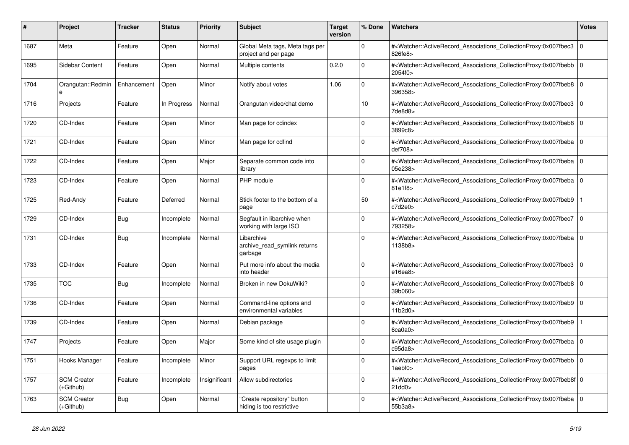| #    | <b>Project</b>                    | Tracker     | <b>Status</b> | <b>Priority</b> | <b>Subject</b>                                          | <b>Target</b><br>version | % Done   | <b>Watchers</b>                                                                                                                                                                      | <b>Votes</b> |
|------|-----------------------------------|-------------|---------------|-----------------|---------------------------------------------------------|--------------------------|----------|--------------------------------------------------------------------------------------------------------------------------------------------------------------------------------------|--------------|
| 1687 | Meta                              | Feature     | Open          | Normal          | Global Meta tags, Meta tags per<br>project and per page |                          | $\Omega$ | # <watcher::activerecord_associations_collectionproxy:0x007fbec3<br>826fe8&gt;</watcher::activerecord_associations_collectionproxy:0x007fbec3<br>                                    | $\mathbf 0$  |
| 1695 | Sidebar Content                   | Feature     | Open          | Normal          | Multiple contents                                       | 0.2.0                    | $\Omega$ | # <watcher::activerecord associations="" collectionproxy:0x007fbebb=""  <br="">2054f0&gt;</watcher::activerecord>                                                                    | $\Omega$     |
| 1704 | Orangutan::Redmin<br>$\mathbf{a}$ | Enhancement | Open          | Minor           | Notify about votes                                      | 1.06                     | $\Omega$ | # <watcher::activerecord_associations_collectionproxy:0x007fbeb8 0<br="">396358&gt;</watcher::activerecord_associations_collectionproxy:0x007fbeb8>                                  |              |
| 1716 | Projects                          | Feature     | In Progress   | Normal          | Orangutan video/chat demo                               |                          | 10       | # <watcher::activerecord_associations_collectionproxy:0x007fbec3<br><math>7</math>de<math>8</math>d<math>8</math></watcher::activerecord_associations_collectionproxy:0x007fbec3<br> | $\mathbf 0$  |
| 1720 | CD-Index                          | Feature     | Open          | Minor           | Man page for cdindex                                    |                          | $\Omega$ | # <watcher::activerecord associations="" collectionproxy:0x007fbeb8=""  <br="">3899c8&gt;</watcher::activerecord>                                                                    | $\Omega$     |
| 1721 | CD-Index                          | Feature     | Open          | Minor           | Man page for cdfind                                     |                          | $\Omega$ | # <watcher::activerecord 0<br="" associations="" collectionproxy:0x007fbeba=""  ="">def708&gt;</watcher::activerecord>                                                               |              |
| 1722 | CD-Index                          | Feature     | Open          | Major           | Separate common code into<br>library                    |                          | $\Omega$ | # <watcher::activerecord associations="" collectionproxy:0x007fbeba<br="">05e238&gt;</watcher::activerecord>                                                                         | $\mathbf 0$  |
| 1723 | CD-Index                          | Feature     | Open          | Normal          | PHP module                                              |                          | $\Omega$ | # <watcher::activerecord_associations_collectionproxy:0x007fbeba 0<br=""  ="">81e1f8&gt;</watcher::activerecord_associations_collectionproxy:0x007fbeba>                             |              |
| 1725 | Red-Andy                          | Feature     | Deferred      | Normal          | Stick footer to the bottom of a<br>page                 |                          | 50       | # <watcher::activerecord_associations_collectionproxy:0x007fbeb9<br>c7d2e0&gt;</watcher::activerecord_associations_collectionproxy:0x007fbeb9<br>                                    |              |
| 1729 | CD-Index                          | Bug         | Incomplete    | Normal          | Segfault in libarchive when<br>working with large ISO   |                          | $\Omega$ | # <watcher::activerecord_associations_collectionproxy:0x007fbec7 0<br=""  ="">793258&gt;</watcher::activerecord_associations_collectionproxy:0x007fbec7>                             |              |
| 1731 | CD-Index                          | <b>Bug</b>  | Incomplete    | Normal          | Libarchive<br>archive read symlink returns<br>garbage   |                          | $\Omega$ | # <watcher::activerecord_associations_collectionproxy:0x007fbeba 0<br=""  ="">1138b8&gt;</watcher::activerecord_associations_collectionproxy:0x007fbeba>                             |              |
| 1733 | CD-Index                          | Feature     | Open          | Normal          | Put more info about the media<br>into header            |                          | $\Omega$ | # <watcher::activerecord 0<br="" associations="" collectionproxy:0x007fbec3=""  ="">e16ea8</watcher::activerecord>                                                                   |              |
| 1735 | <b>TOC</b>                        | Bug         | Incomplete    | Normal          | Broken in new DokuWiki?                                 |                          | $\Omega$ | # <watcher::activerecord_associations_collectionproxy:0x007fbeb8  <br="">39b060&gt;</watcher::activerecord_associations_collectionproxy:0x007fbeb8>                                  | $\Omega$     |
| 1736 | CD-Index                          | Feature     | Open          | Normal          | Command-line options and<br>environmental variables     |                          | $\Omega$ | # <watcher::activerecord_associations_collectionproxy:0x007fbeb9 0<br="">11b2d0&gt;</watcher::activerecord_associations_collectionproxy:0x007fbeb9>                                  |              |
| 1739 | CD-Index                          | Feature     | Open          | Normal          | Debian package                                          |                          | $\Omega$ | # <watcher::activerecord_associations_collectionproxy:0x007fbeb9<br>6ca0a0&gt;</watcher::activerecord_associations_collectionproxy:0x007fbeb9<br>                                    |              |
| 1747 | Projects                          | Feature     | Open          | Major           | Some kind of site usage plugin                          |                          | $\Omega$ | # <watcher::activerecord_associations_collectionproxy:0x007fbeba  <br="">c95da8</watcher::activerecord_associations_collectionproxy:0x007fbeba>                                      | $\Omega$     |
| 1751 | Hooks Manager                     | Feature     | Incomplete    | Minor           | Support URL regexps to limit<br>pages                   |                          | $\Omega$ | # <watcher::activerecord 0<br="" associations="" collectionproxy:0x007fbebb=""  ="">1aebf0<sub>&gt;</sub></watcher::activerecord>                                                    |              |
| 1757 | <b>SCM Creator</b><br>(+Github)   | Feature     | Incomplete    | Insignificant   | Allow subdirectories                                    |                          | $\Omega$ | # <watcher::activerecord_associations_collectionproxy:0x007fbeb8f 0<br=""  =""><math>21</math>dd<math>0</math></watcher::activerecord_associations_collectionproxy:0x007fbeb8f>      |              |
| 1763 | <b>SCM Creator</b><br>$(+Github)$ | <b>Bug</b>  | Open          | Normal          | 'Create repository" button<br>hiding is too restrictive |                          | $\Omega$ | # <watcher::activerecord_associations_collectionproxy:0x007fbeba  <br="">55b3a8&gt;</watcher::activerecord_associations_collectionproxy:0x007fbeba>                                  | $\mathbf 0$  |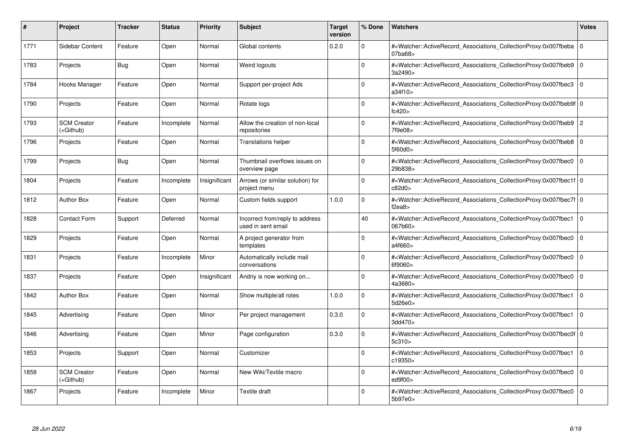| #    | <b>Project</b>                  | Tracker    | <b>Status</b> | <b>Priority</b> | <b>Subject</b>                                        | <b>Target</b><br>version | % Done   | <b>Watchers</b>                                                                                                                                           | <b>Votes</b>   |
|------|---------------------------------|------------|---------------|-----------------|-------------------------------------------------------|--------------------------|----------|-----------------------------------------------------------------------------------------------------------------------------------------------------------|----------------|
| 1771 | Sidebar Content                 | Feature    | Open          | Normal          | Global contents                                       | 0.2.0                    | $\Omega$ | # <watcher::activerecord associations="" collectionproxy:0x007fbeba<br="">07ba68&gt;</watcher::activerecord>                                              | $\mathbf 0$    |
| 1783 | Projects                        | <b>Bug</b> | Open          | Normal          | Weird logouts                                         |                          | $\Omega$ | # <watcher::activerecord 0<br="" associations="" collectionproxy:0x007fbeb9=""  ="">3a2490&gt;</watcher::activerecord>                                    |                |
| 1784 | Hooks Manager                   | Feature    | Open          | Normal          | Support per-project Ads                               |                          | $\Omega$ | # <watcher::activerecord_associations_collectionproxy:0x007fbec3<br>a34f10&gt;</watcher::activerecord_associations_collectionproxy:0x007fbec3<br>         | $\Omega$       |
| 1790 | Projects                        | Feature    | Open          | Normal          | Rotate logs                                           |                          | $\Omega$ | # <watcher::activerecord 0<br="" associations="" collectionproxy:0x007fbeb9f=""  ="">fc420</watcher::activerecord>                                        |                |
| 1793 | <b>SCM Creator</b><br>(+Github) | Feature    | Incomplete    | Normal          | Allow the creation of non-local<br>repositories       |                          | $\Omega$ | # <watcher::activerecord_associations_collectionproxy:0x007fbeb9  <br="">7f9e08&gt;</watcher::activerecord_associations_collectionproxy:0x007fbeb9>       | $\overline{c}$ |
| 1796 | Projects                        | Feature    | Open          | Normal          | <b>Translations helper</b>                            |                          | $\Omega$ | # <watcher::activerecord_associations_collectionproxy:0x007fbeb8 0<br="">5f60d0&gt;</watcher::activerecord_associations_collectionproxy:0x007fbeb8>       |                |
| 1799 | Projects                        | Bug        | Open          | Normal          | Thumbnail overflows issues on<br>overview page        |                          | $\Omega$ | # <watcher::activerecord associations="" collectionproxy:0x007fbec0<br="">29b838&gt;</watcher::activerecord>                                              | $\mathbf 0$    |
| 1804 | Projects                        | Feature    | Incomplete    | Insignificant   | Arrows (or similar solution) for<br>project menu      |                          | $\Omega$ | # <watcher::activerecord_associations_collectionproxy:0x007fbec1f 0<br=""  ="">c82d0&gt;</watcher::activerecord_associations_collectionproxy:0x007fbec1f> |                |
| 1812 | <b>Author Box</b>               | Feature    | Open          | Normal          | Custom fields support                                 | 1.0.0                    | $\Omega$ | # <watcher::activerecord 0<br="" associations="" collectionproxy:0x007fbec7f=""  ="">f<math>2ea8</math></watcher::activerecord>                           |                |
| 1828 | <b>Contact Form</b>             | Support    | Deferred      | Normal          | Incorrect from/reply to address<br>used in sent email |                          | 40       | # <watcher::activerecord associations="" collectionproxy:0x007fbec1<br="">067b60&gt;</watcher::activerecord>                                              | $\mathbf 0$    |
| 1829 | Projects                        | Feature    | Open          | Normal          | A project generator from<br>templates                 |                          | $\Omega$ | # <watcher::activerecord_associations_collectionproxy:0x007fbec0<br>a4f660&gt;</watcher::activerecord_associations_collectionproxy:0x007fbec0<br>         | $\Omega$       |
| 1831 | Projects                        | Feature    | Incomplete    | Minor           | Automatically include mail<br>conversations           |                          | $\Omega$ | # <watcher::activerecord associations="" collectionproxy:0x007fbec0<br="">6f9060&gt;</watcher::activerecord>                                              | $\mathbf 0$    |
| 1837 | Projects                        | Feature    | Open          | Insignificant   | Andriy is now working on                              |                          | $\Omega$ | # <watcher::activerecord associations="" collectionproxy:0x007fbec0<br="">4a3680&gt;</watcher::activerecord>                                              | $\mathbf 0$    |
| 1842 | <b>Author Box</b>               | Feature    | Open          | Normal          | Show multiple/all roles                               | 1.0.0                    | $\Omega$ | # <watcher::activerecord_associations_collectionproxy:0x007fbec1<br>5d26e0&gt;</watcher::activerecord_associations_collectionproxy:0x007fbec1<br>         | $\Omega$       |
| 1845 | Advertising                     | Feature    | Open          | Minor           | Per project management                                | 0.3.0                    | $\Omega$ | # <watcher::activerecord associations="" collectionproxy:0x007fbec1<br="">3dd470&gt;</watcher::activerecord>                                              | $\mathbf 0$    |
| 1846 | Advertising                     | Feature    | Open          | Minor           | Page configuration                                    | 0.3.0                    | $\Omega$ | # <watcher::activerecord_associations_collectionproxy:0x007fbec0f 0<br=""  ="">5c310</watcher::activerecord_associations_collectionproxy:0x007fbec0f>     |                |
| 1853 | Projects                        | Support    | Open          | Normal          | Customizer                                            |                          | $\Omega$ | # <watcher::activerecord_associations_collectionproxy:0x007fbec1<br>c19350&gt;</watcher::activerecord_associations_collectionproxy:0x007fbec1<br>         | $\Omega$       |
| 1858 | <b>SCM Creator</b><br>(+Github) | Feature    | Open          | Normal          | New Wiki/Textile macro                                |                          | $\Omega$ | # <watcher::activerecord associations="" collectionproxy:0x007fbec0<br="">ed9f00&gt;</watcher::activerecord>                                              | $\mathbf{0}$   |
| 1867 | Projects                        | Feature    | Incomplete    | Minor           | Textile draft                                         |                          | $\Omega$ | # <watcher::activerecord_associations_collectionproxy:0x007fbec0 0<br=""  ="">5b97e0&gt;</watcher::activerecord_associations_collectionproxy:0x007fbec0>  |                |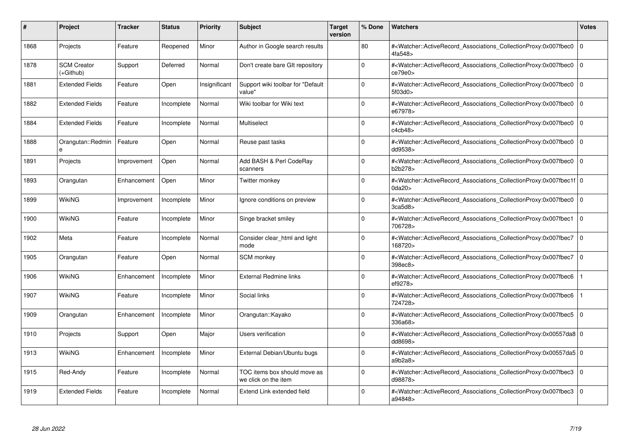| #    | Project                         | <b>Tracker</b> | <b>Status</b> | <b>Priority</b> | <b>Subject</b>                                       | <b>Target</b><br>version | % Done   | <b>Watchers</b>                                                                                                                                           | <b>Votes</b> |
|------|---------------------------------|----------------|---------------|-----------------|------------------------------------------------------|--------------------------|----------|-----------------------------------------------------------------------------------------------------------------------------------------------------------|--------------|
| 1868 | Projects                        | Feature        | Reopened      | Minor           | Author in Google search results                      |                          | 80       | # <watcher::activerecord associations="" collectionproxy:0x007fbec0<br="">4fa548&gt;</watcher::activerecord>                                              | $\mathbf 0$  |
| 1878 | <b>SCM Creator</b><br>(+Github) | Support        | Deferred      | Normal          | Don't create bare GIt repository                     |                          | $\Omega$ | # <watcher::activerecord associations="" collectionproxy:0x007fbec0<br="">ce79e0</watcher::activerecord>                                                  | $\mathbf 0$  |
| 1881 | <b>Extended Fields</b>          | Feature        | Open          | Insignificant   | Support wiki toolbar for "Default<br>value"          |                          | $\Omega$ | # <watcher::activerecord_associations_collectionproxy:0x007fbec0<br>5f03d0&gt;</watcher::activerecord_associations_collectionproxy:0x007fbec0<br>         | $\Omega$     |
| 1882 | <b>Extended Fields</b>          | Feature        | Incomplete    | Normal          | Wiki toolbar for Wiki text                           |                          | $\Omega$ | # <watcher::activerecord_associations_collectionproxy:0x007fbec0 0<br="">e67978&gt;</watcher::activerecord_associations_collectionproxy:0x007fbec0>       |              |
| 1884 | <b>Extended Fields</b>          | Feature        | Incomplete    | Normal          | Multiselect                                          |                          | $\Omega$ | # <watcher::activerecord_associations_collectionproxy:0x007fbec0<br>c4cb48&gt;</watcher::activerecord_associations_collectionproxy:0x007fbec0<br>         | $\mathbf 0$  |
| 1888 | Orangutan::Redmin<br>e          | Feature        | Open          | Normal          | Reuse past tasks                                     |                          | $\Omega$ | # <watcher::activerecord_associations_collectionproxy:0x007fbec0<br>dd9538&gt;</watcher::activerecord_associations_collectionproxy:0x007fbec0<br>         | $\Omega$     |
| 1891 | Projects                        | Improvement    | Open          | Normal          | Add BASH & Perl CodeRay<br>scanners                  |                          | $\Omega$ | # <watcher::activerecord associations="" collectionproxy:0x007fbec0<br="">b2b278&gt;</watcher::activerecord>                                              | $\mathbf 0$  |
| 1893 | Orangutan                       | Enhancement    | Open          | Minor           | Twitter monkey                                       |                          | $\Omega$ | # <watcher::activerecord_associations_collectionproxy:0x007fbec1f 0<br=""  ="">0da20&gt;</watcher::activerecord_associations_collectionproxy:0x007fbec1f> |              |
| 1899 | <b>WikiNG</b>                   | Improvement    | Incomplete    | Minor           | Ignore conditions on preview                         |                          | $\Omega$ | # <watcher::activerecord associations="" collectionproxy:0x007fbec0<br="">3ca5d8</watcher::activerecord>                                                  | $\mathbf 0$  |
| 1900 | WikiNG                          | Feature        | Incomplete    | Minor           | Singe bracket smiley                                 |                          | $\Omega$ | # <watcher::activerecord associations="" collectionproxy:0x007fbec1<br="">706728&gt;</watcher::activerecord>                                              | $\mathbf 0$  |
| 1902 | Meta                            | Feature        | Incomplete    | Normal          | Consider clear html and light<br>mode                |                          | $\Omega$ | # <watcher::activerecord_associations_collectionproxy:0x007fbec7<br>168720&gt;</watcher::activerecord_associations_collectionproxy:0x007fbec7<br>         | l o          |
| 1905 | Orangutan                       | Feature        | Open          | Normal          | <b>SCM</b> monkey                                    |                          | $\Omega$ | # <watcher::activerecord associations="" collectionproxy:0x007fbec7=""  <br="">398ec8&gt;</watcher::activerecord>                                         | $\mathbf 0$  |
| 1906 | WikiNG                          | Enhancement    | Incomplete    | Minor           | <b>External Redmine links</b>                        |                          | $\Omega$ | # <watcher::activerecord associations="" collectionproxy:0x007fbec6<br="">ef9278&gt;</watcher::activerecord>                                              |              |
| 1907 | WikiNG                          | Feature        | Incomplete    | Minor           | Social links                                         |                          | $\Omega$ | # <watcher::activerecord_associations_collectionproxy:0x007fbec6<br>724728&gt;</watcher::activerecord_associations_collectionproxy:0x007fbec6<br>         |              |
| 1909 | Orangutan                       | Enhancement    | Incomplete    | Minor           | Orangutan::Kayako                                    |                          | $\Omega$ | # <watcher::activerecord 0<br="" associations="" collectionproxy:0x007fbec5=""  ="">336a68&gt;</watcher::activerecord>                                    |              |
| 1910 | Projects                        | Support        | Open          | Major           | Users verification                                   |                          | $\Omega$ | # <watcher::activerecord_associations_collectionproxy:0x00557da8 0<br=""  ="">dd8698&gt;</watcher::activerecord_associations_collectionproxy:0x00557da8>  |              |
| 1913 | <b>WikiNG</b>                   | Enhancement    | Incomplete    | Minor           | External Debian/Ubuntu bugs                          |                          | $\Omega$ | # <watcher::activerecord_associations_collectionproxy:0x00557da5 0<br=""  ="">a9b2a8</watcher::activerecord_associations_collectionproxy:0x00557da5>      |              |
| 1915 | Red-Andy                        | Feature        | Incomplete    | Normal          | TOC items box should move as<br>we click on the item |                          | $\Omega$ | # <watcher::activerecord associations="" collectionproxy:0x007fbec3<br="">d98878&gt;</watcher::activerecord>                                              | $\mathbf 0$  |
| 1919 | <b>Extended Fields</b>          | Feature        | Incomplete    | Normal          | Extend Link extended field                           |                          | $\Omega$ | # <watcher::activerecord associations="" collectionproxy:0x007fbec3<br="">a94848&gt;</watcher::activerecord>                                              | $\mathbf 0$  |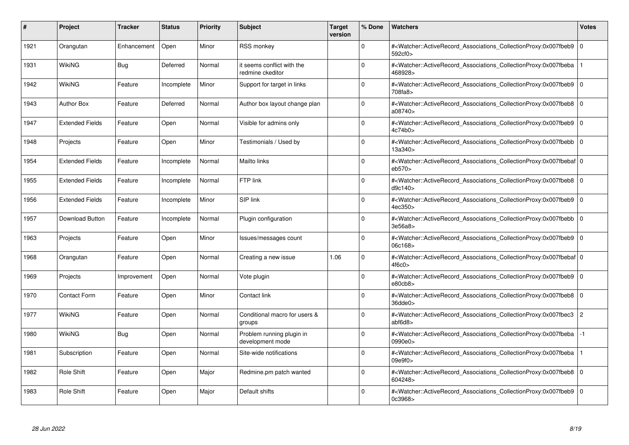| #    | Project                | <b>Tracker</b> | <b>Status</b> | <b>Priority</b> | <b>Subject</b>                                 | <b>Target</b><br>version | % Done      | <b>Watchers</b>                                                                                                                                           | <b>Votes</b>   |
|------|------------------------|----------------|---------------|-----------------|------------------------------------------------|--------------------------|-------------|-----------------------------------------------------------------------------------------------------------------------------------------------------------|----------------|
| 1921 | Orangutan              | Enhancement    | Open          | Minor           | <b>RSS monkey</b>                              |                          | $\Omega$    | # <watcher::activerecord associations="" collectionproxy:0x007fbeb9<br="">592cf0&gt;</watcher::activerecord>                                              | $\mathbf 0$    |
| 1931 | <b>WikiNG</b>          | <b>Bug</b>     | Deferred      | Normal          | it seems conflict with the<br>redmine ckeditor |                          | $\Omega$    | # <watcher::activerecord_associations_collectionproxy:0x007fbeba<br>468928&gt;</watcher::activerecord_associations_collectionproxy:0x007fbeba<br>         |                |
| 1942 | <b>WikiNG</b>          | Feature        | Incomplete    | Minor           | Support for target in links                    |                          | $\Omega$    | # <watcher::activerecord associations="" collectionproxy:0x007fbeb9=""  <br="">708fa8&gt;</watcher::activerecord>                                         | $\mathbf 0$    |
| 1943 | <b>Author Box</b>      | Feature        | Deferred      | Normal          | Author box layout change plan                  |                          | $\Omega$    | # <watcher::activerecord associations="" collectionproxy:0x007fbeb8=""  <br="">a08740&gt;</watcher::activerecord>                                         | $\mathbf 0$    |
| 1947 | <b>Extended Fields</b> | Feature        | Open          | Normal          | Visible for admins only                        |                          | $\Omega$    | # <watcher::activerecord associations="" collectionproxy:0x007fbeb9<br="">4c74b0</watcher::activerecord>                                                  | $\mathbf 0$    |
| 1948 | Projects               | Feature        | Open          | Minor           | Testimonials / Used by                         |                          | $\Omega$    | # <watcher::activerecord associations="" collectionproxy:0x007fbebb=""  <br="">13a340&gt;</watcher::activerecord>                                         | $\Omega$       |
| 1954 | <b>Extended Fields</b> | Feature        | Incomplete    | Normal          | Mailto links                                   |                          | $\Omega$    | # <watcher::activerecord_associations_collectionproxy:0x007fbebaf 0<br=""  ="">eb570&gt;</watcher::activerecord_associations_collectionproxy:0x007fbebaf> |                |
| 1955 | <b>Extended Fields</b> | Feature        | Incomplete    | Normal          | FTP link                                       |                          | $\Omega$    | # <watcher::activerecord associations="" collectionproxy:0x007fbeb8=""  <br="">d9c140</watcher::activerecord>                                             | $\mathbf 0$    |
| 1956 | <b>Extended Fields</b> | Feature        | Incomplete    | Minor           | SIP link                                       |                          | $\Omega$    | # <watcher::activerecord_associations_collectionproxy:0x007fbeb9 0<br=""  ="">4ec350&gt;</watcher::activerecord_associations_collectionproxy:0x007fbeb9>  |                |
| 1957 | <b>Download Button</b> | Feature        | Incomplete    | Normal          | Plugin configuration                           |                          | $\Omega$    | # <watcher::activerecord_associations_collectionproxy:0x007fbebb  <br="">3e56a8&gt;</watcher::activerecord_associations_collectionproxy:0x007fbebb>       | $\Omega$       |
| 1963 | Projects               | Feature        | Open          | Minor           | Issues/messages count                          |                          | $\Omega$    | # <watcher::activerecord 0<br="" associations="" collectionproxy:0x007fbeb9=""  ="">06c168&gt;</watcher::activerecord>                                    |                |
| 1968 | Orangutan              | Feature        | Open          | Normal          | Creating a new issue                           | 1.06                     | $\Omega$    | # <watcher::activerecord 0<br="" associations="" collectionproxy:0x007fbebaf=""  ="">4f6c0&gt;</watcher::activerecord>                                    |                |
| 1969 | Projects               | Improvement    | Open          | Normal          | Vote plugin                                    |                          | $\Omega$    | # <watcher::activerecord 0<br="" associations="" collectionproxy:0x007fbeb9=""  ="">e80cb8</watcher::activerecord>                                        |                |
| 1970 | <b>Contact Form</b>    | Feature        | Open          | Minor           | Contact link                                   |                          | $\mathbf 0$ | # <watcher::activerecord_associations_collectionproxy:0x007fbeb8 0<br=""  ="">36dde0&gt;</watcher::activerecord_associations_collectionproxy:0x007fbeb8>  |                |
| 1977 | <b>WikiNG</b>          | Feature        | Open          | Normal          | Conditional macro for users &<br>groups        |                          | $\Omega$    | # <watcher::activerecord_associations_collectionproxy:0x007fbec3<br>abf6d8</watcher::activerecord_associations_collectionproxy:0x007fbec3<br>             | $\overline{c}$ |
| 1980 | WikiNG                 | Bug            | Open          | Normal          | Problem running plugin in<br>development mode  |                          | $\Omega$    | # <watcher::activerecord associations="" collectionproxy:0x007fbeba<br="">0990e0&gt;</watcher::activerecord>                                              | $-1$           |
| 1981 | Subscription           | Feature        | Open          | Normal          | Site-wide notifications                        |                          | $\Omega$    | # <watcher::activerecord associations="" collectionproxy:0x007fbeba<br="">09e9f0&gt;</watcher::activerecord>                                              |                |
| 1982 | Role Shift             | Feature        | Open          | Major           | Redmine.pm patch wanted                        |                          | $\Omega$    | # <watcher::activerecord 0<br="" associations="" collectionproxy:0x007fbeb8=""  ="">604248&gt;</watcher::activerecord>                                    |                |
| 1983 | Role Shift             | Feature        | Open          | Major           | Default shifts                                 |                          | $\Omega$    | # <watcher::activerecord_associations_collectionproxy:0x007fbeb9 0<br="">0c3968&gt;</watcher::activerecord_associations_collectionproxy:0x007fbeb9>       |                |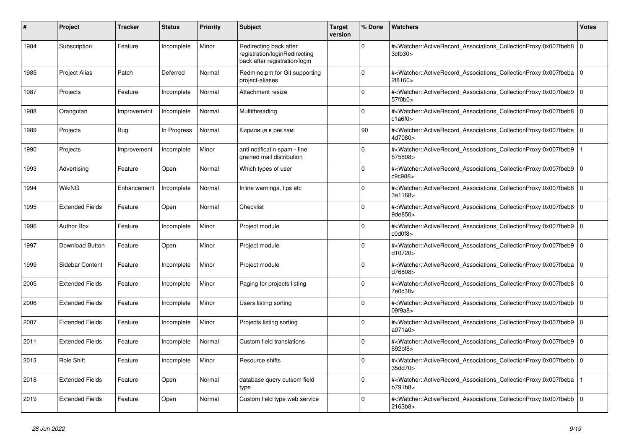| #    | <b>Project</b>         | <b>Tracker</b> | <b>Status</b> | <b>Priority</b> | <b>Subject</b>                                                                           | <b>Target</b><br>version | % Done   | <b>Watchers</b>                                                                                                                                                     | Votes          |
|------|------------------------|----------------|---------------|-----------------|------------------------------------------------------------------------------------------|--------------------------|----------|---------------------------------------------------------------------------------------------------------------------------------------------------------------------|----------------|
| 1984 | Subscription           | Feature        | Incomplete    | Minor           | Redirecting back after<br>registration/loginRedirecting<br>back after registration/login |                          | $\Omega$ | # <watcher::activerecord_associations_collectionproxy:0x007fbeb8<br>3cfb30&gt;</watcher::activerecord_associations_collectionproxy:0x007fbeb8<br>                   | l o            |
| 1985 | <b>Project Alias</b>   | Patch          | Deferred      | Normal          | Redmine.pm for Git supporting<br>project-aliases                                         |                          | $\Omega$ | # <watcher::activerecord associations="" collectionproxy:0x007fbeba<br="">2f8160&gt;</watcher::activerecord>                                                        | l O            |
| 1987 | Projects               | Feature        | Incomplete    | Normal          | Attachment resize                                                                        |                          | $\Omega$ | # <watcher::activerecord associations="" collectionproxy:0x007fbeb9<br="">57f0b0&gt;</watcher::activerecord>                                                        | I٥             |
| 1988 | Orangutan              | Improvement    | Incomplete    | Normal          | Multithreading                                                                           |                          | $\Omega$ | # <watcher::activerecord_associations_collectionproxy:0x007fbeb8<br>c1a6f0&gt;</watcher::activerecord_associations_collectionproxy:0x007fbeb8<br>                   | l O            |
| 1989 | Projects               | Bug            | In Progress   | Normal          | Кирилиця в рекламі                                                                       |                          | 90       | # <watcher::activerecord_associations_collectionproxy:0x007fbeba<br>4d7080&gt;</watcher::activerecord_associations_collectionproxy:0x007fbeba<br>                   | l o            |
| 1990 | Projects               | Improvement    | Incomplete    | Minor           | anti notificatin spam - fine<br>grained mail distribution                                |                          | $\Omega$ | # <watcher::activerecord_associations_collectionproxy:0x007fbeb9<br>575808&gt;</watcher::activerecord_associations_collectionproxy:0x007fbeb9<br>                   |                |
| 1993 | Advertising            | Feature        | Open          | Normal          | Which types of user                                                                      |                          | $\Omega$ | # <watcher::activerecord associations="" collectionproxy:0x007fbeb9<br="">c9c988&gt;</watcher::activerecord>                                                        | l O            |
| 1994 | WikiNG                 | Enhancement    | Incomplete    | Normal          | Inline warnings, tips etc                                                                |                          | $\Omega$ | # <watcher::activerecord_associations_collectionproxy:0x007fbeb8 0<br=""  ="">3a1168&gt;</watcher::activerecord_associations_collectionproxy:0x007fbeb8>            |                |
| 1995 | <b>Extended Fields</b> | Feature        | Open          | Normal          | Checklist                                                                                |                          | $\Omega$ | # <watcher::activerecord_associations_collectionproxy:0x007fbeb8<br>9de850&gt;</watcher::activerecord_associations_collectionproxy:0x007fbeb8<br>                   | l O            |
| 1996 | <b>Author Box</b>      | Feature        | Incomplete    | Minor           | Project module                                                                           |                          | $\Omega$ | # <watcher::activerecord_associations_collectionproxy:0x007fbeb9<br><math>\text{c0d0f8}\n</math></watcher::activerecord_associations_collectionproxy:0x007fbeb9<br> | 0              |
| 1997 | Download Button        | Feature        | Open          | Minor           | Project module                                                                           |                          | $\Omega$ | # <watcher::activerecord_associations_collectionproxy:0x007fbeb9 0<br=""  ="">d10720&gt;</watcher::activerecord_associations_collectionproxy:0x007fbeb9>            |                |
| 1999 | Sidebar Content        | Feature        | Incomplete    | Minor           | Project module                                                                           |                          | $\Omega$ | # <watcher::activerecord associations="" collectionproxy:0x007fbeba<br="">d76808&gt;</watcher::activerecord>                                                        | l O            |
| 2005 | <b>Extended Fields</b> | Feature        | Incomplete    | Minor           | Paging for projects listing                                                              |                          | $\Omega$ | # <watcher::activerecord_associations_collectionproxy:0x007fbeb8<br>7e0c38&gt;</watcher::activerecord_associations_collectionproxy:0x007fbeb8<br>                   | 0              |
| 2006 | <b>Extended Fields</b> | Feature        | Incomplete    | Minor           | Users listing sorting                                                                    |                          | $\Omega$ | # <watcher::activerecord associations="" collectionproxy:0x007fbebb<br="">09f9a8&gt;</watcher::activerecord>                                                        | $\overline{0}$ |
| 2007 | <b>Extended Fields</b> | Feature        | Incomplete    | Minor           | Projects listing sorting                                                                 |                          | $\Omega$ | # <watcher::activerecord associations="" collectionproxy:0x007fbeb9<br="">a071a0&gt;</watcher::activerecord>                                                        | l O            |
| 2011 | <b>Extended Fields</b> | Feature        | Incomplete    | Normal          | Custom field translations                                                                |                          | $\Omega$ | # <watcher::activerecord_associations_collectionproxy:0x007fbeb9<br>892bf8&gt;</watcher::activerecord_associations_collectionproxy:0x007fbeb9<br>                   | 0              |
| 2013 | <b>Role Shift</b>      | Feature        | Incomplete    | Minor           | Resource shifts                                                                          |                          | $\Omega$ | # <watcher::activerecord_associations_collectionproxy:0x007fbebb 0<br=""  ="">35dd70&gt;</watcher::activerecord_associations_collectionproxy:0x007fbebb>            |                |
| 2018 | <b>Extended Fields</b> | Feature        | Open          | Normal          | database query cutsom field<br>type                                                      |                          | $\Omega$ | # <watcher::activerecord_associations_collectionproxy:0x007fbeba<br>b791b8&gt;</watcher::activerecord_associations_collectionproxy:0x007fbeba<br>                   |                |
| 2019 | <b>Extended Fields</b> | Feature        | Open          | Normal          | Custom field type web service                                                            |                          | $\Omega$ | # <watcher::activerecord 0<br="" associations="" collectionproxy:0x007fbebb=""  ="">2163b8&gt;</watcher::activerecord>                                              |                |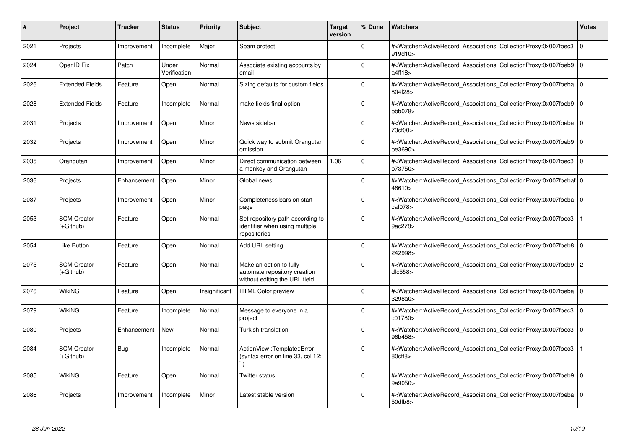| #    | Project                         | <b>Tracker</b> | <b>Status</b>         | <b>Priority</b> | <b>Subject</b>                                                                           | <b>Target</b><br>version | % Done   | <b>Watchers</b>                                                                                                                                           | <b>Votes</b>   |
|------|---------------------------------|----------------|-----------------------|-----------------|------------------------------------------------------------------------------------------|--------------------------|----------|-----------------------------------------------------------------------------------------------------------------------------------------------------------|----------------|
| 2021 | Projects                        | Improvement    | Incomplete            | Major           | Spam protect                                                                             |                          | $\Omega$ | # <watcher::activerecord_associations_collectionproxy:0x007fbec3<br>919d10&gt;</watcher::activerecord_associations_collectionproxy:0x007fbec3<br>         | $\mathbf 0$    |
| 2024 | OpenID Fix                      | Patch          | Under<br>Verification | Normal          | Associate existing accounts by<br>email                                                  |                          | $\Omega$ | # <watcher::activerecord associations="" collectionproxy:0x007fbeb9<br="">a4ff18&gt;</watcher::activerecord>                                              | l O            |
| 2026 | <b>Extended Fields</b>          | Feature        | Open                  | Normal          | Sizing defaults for custom fields                                                        |                          | $\Omega$ | # <watcher::activerecord associations="" collectionproxy:0x007fbeba<br="">804f28&gt;</watcher::activerecord>                                              | l O            |
| 2028 | <b>Extended Fields</b>          | Feature        | Incomplete            | Normal          | make fields final option                                                                 |                          | $\Omega$ | # <watcher::activerecord associations="" collectionproxy:0x007fbeb9<br="">bbb078&gt;</watcher::activerecord>                                              | l O            |
| 2031 | Projects                        | Improvement    | Open                  | Minor           | News sidebar                                                                             |                          | $\Omega$ | # <watcher::activerecord associations="" collectionproxy:0x007fbeba<br="">73cf00&gt;</watcher::activerecord>                                              | l O            |
| 2032 | Projects                        | Improvement    | Open                  | Minor           | Quick way to submit Orangutan<br>omission                                                |                          | $\Omega$ | # <watcher::activerecord_associations_collectionproxy:0x007fbeb9<br>be3690&gt;</watcher::activerecord_associations_collectionproxy:0x007fbeb9<br>         | $\overline{0}$ |
| 2035 | Orangutan                       | Improvement    | Open                  | Minor           | Direct communication between<br>a monkey and Orangutan                                   | 1.06                     | $\Omega$ | # <watcher::activerecord_associations_collectionproxy:0x007fbec3<br>b73750&gt;</watcher::activerecord_associations_collectionproxy:0x007fbec3<br>         | $\overline{0}$ |
| 2036 | Projects                        | Enhancement    | Open                  | Minor           | Global news                                                                              |                          | $\Omega$ | # <watcher::activerecord_associations_collectionproxy:0x007fbebaf 0<br=""  ="">46610&gt;</watcher::activerecord_associations_collectionproxy:0x007fbebaf> |                |
| 2037 | Projects                        | Improvement    | Open                  | Minor           | Completeness bars on start<br>page                                                       |                          | $\Omega$ | # <watcher::activerecord_associations_collectionproxy:0x007fbeba<br>caf078&gt;</watcher::activerecord_associations_collectionproxy:0x007fbeba<br>         | l O            |
| 2053 | <b>SCM Creator</b><br>(+Github) | Feature        | Open                  | Normal          | Set repository path according to<br>identifier when using multiple<br>repositories       |                          | $\Omega$ | # <watcher::activerecord_associations_collectionproxy:0x007fbec3<br>9ac278&gt;</watcher::activerecord_associations_collectionproxy:0x007fbec3<br>         |                |
| 2054 | Like Button                     | Feature        | Open                  | Normal          | Add URL setting                                                                          |                          | 0        | # <watcher::activerecord associations="" collectionproxy:0x007fbeb8<br="">242998&gt;</watcher::activerecord>                                              | 0              |
| 2075 | <b>SCM Creator</b><br>(+Github) | Feature        | Open                  | Normal          | Make an option to fully<br>automate repository creation<br>without editing the URL field |                          | $\Omega$ | # <watcher::activerecord associations="" collectionproxy:0x007fbeb9<br="">dfc558</watcher::activerecord>                                                  | $\overline{2}$ |
| 2076 | WikiNG                          | Feature        | Open                  | Insignificant   | <b>HTML Color preview</b>                                                                |                          | $\Omega$ | # <watcher::activerecord_associations_collectionproxy:0x007fbeba<br>3298a0&gt;</watcher::activerecord_associations_collectionproxy:0x007fbeba<br>         | 0              |
| 2079 | <b>WikiNG</b>                   | Feature        | Incomplete            | Normal          | Message to everyone in a<br>project                                                      |                          | $\Omega$ | # <watcher::activerecord_associations_collectionproxy:0x007fbec3<br>c01780&gt;</watcher::activerecord_associations_collectionproxy:0x007fbec3<br>         | 0              |
| 2080 | Projects                        | Enhancement    | <b>New</b>            | Normal          | <b>Turkish translation</b>                                                               |                          | $\Omega$ | # <watcher::activerecord associations="" collectionproxy:0x007fbec3<br="">96b458&gt;</watcher::activerecord>                                              | 0              |
| 2084 | <b>SCM Creator</b><br>(+Github) | Bug            | Incomplete            | Normal          | ActionView::Template::Error<br>(syntax error on line 33, col 12:                         |                          | $\Omega$ | # <watcher::activerecord associations="" collectionproxy:0x007fbec3<br="">80cff8&gt;</watcher::activerecord>                                              |                |
| 2085 | WikiNG                          | Feature        | Open                  | Normal          | Twitter status                                                                           |                          | $\Omega$ | # <watcher::activerecord_associations_collectionproxy:0x007fbeb9 0<br=""  ="">9a9050&gt;</watcher::activerecord_associations_collectionproxy:0x007fbeb9>  |                |
| 2086 | Projects                        | Improvement    | Incomplete            | Minor           | Latest stable version                                                                    |                          | $\Omega$ | # <watcher::activerecord_associations_collectionproxy:0x007fbeba<br>50dfb8&gt;</watcher::activerecord_associations_collectionproxy:0x007fbeba<br>         | $\overline{0}$ |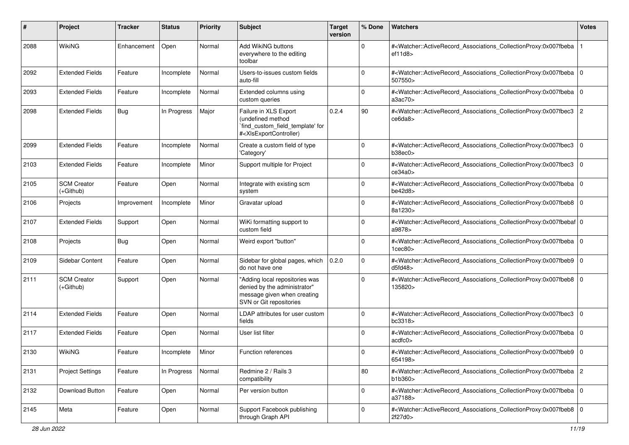| #    | Project                           | <b>Tracker</b> | <b>Status</b> | <b>Priority</b> | Subject                                                                                                                                                                                                                                                                                                                                                       | <b>Target</b><br>version | % Done      | Watchers                                                                                                                                                                       | <b>Votes</b>   |
|------|-----------------------------------|----------------|---------------|-----------------|---------------------------------------------------------------------------------------------------------------------------------------------------------------------------------------------------------------------------------------------------------------------------------------------------------------------------------------------------------------|--------------------------|-------------|--------------------------------------------------------------------------------------------------------------------------------------------------------------------------------|----------------|
| 2088 | WikiNG                            | Enhancement    | Open          | Normal          | Add WikiNG buttons<br>everywhere to the editing<br>toolbar                                                                                                                                                                                                                                                                                                    |                          | $\mathbf 0$ | # <watcher::activerecord_associations_collectionproxy:0x007fbeba<br>ef11d8</watcher::activerecord_associations_collectionproxy:0x007fbeba<br>                                  |                |
| 2092 | <b>Extended Fields</b>            | Feature        | Incomplete    | Normal          | Users-to-issues custom fields<br>auto-fill                                                                                                                                                                                                                                                                                                                    |                          | $\Omega$    | # <watcher::activerecord_associations_collectionproxy:0x007fbeba 0<br=""  ="">507550&gt;</watcher::activerecord_associations_collectionproxy:0x007fbeba>                       |                |
| 2093 | <b>Extended Fields</b>            | Feature        | Incomplete    | Normal          | Extended columns using<br>custom queries                                                                                                                                                                                                                                                                                                                      |                          | $\Omega$    | # <watcher::activerecord_associations_collectionproxy:0x007fbeba 0<br=""  ="">a3ac70&gt;</watcher::activerecord_associations_collectionproxy:0x007fbeba>                       |                |
| 2098 | <b>Extended Fields</b>            | <b>Bug</b>     | In Progress   | Major           | Failure in XLS Export<br>(undefined method<br>`find_custom_field_template' for<br># <xlsexportcontroller)< td=""><td>0.2.4</td><td>90</td><td>#<watcher::activerecord_associations_collectionproxy:0x007fbec3<br>ce6da8&gt;</watcher::activerecord_associations_collectionproxy:0x007fbec3<br></td><td><math>\overline{2}</math></td></xlsexportcontroller)<> | 0.2.4                    | 90          | # <watcher::activerecord_associations_collectionproxy:0x007fbec3<br>ce6da8&gt;</watcher::activerecord_associations_collectionproxy:0x007fbec3<br>                              | $\overline{2}$ |
| 2099 | <b>Extended Fields</b>            | Feature        | Incomplete    | Normal          | Create a custom field of type<br>'Category'                                                                                                                                                                                                                                                                                                                   |                          | $\Omega$    | # <watcher::activerecord_associations_collectionproxy:0x007fbec3<br>b38ec0&gt;</watcher::activerecord_associations_collectionproxy:0x007fbec3<br>                              | 0              |
| 2103 | <b>Extended Fields</b>            | Feature        | Incomplete    | Minor           | Support multiple for Project                                                                                                                                                                                                                                                                                                                                  |                          | $\Omega$    | # <watcher::activerecord_associations_collectionproxy:0x007fbec3<br>ce34a0&gt;</watcher::activerecord_associations_collectionproxy:0x007fbec3<br>                              | 0              |
| 2105 | <b>SCM Creator</b><br>(+Github)   | Feature        | Open          | Normal          | Integrate with existing scm<br>system                                                                                                                                                                                                                                                                                                                         |                          | $\Omega$    | # <watcher::activerecord_associations_collectionproxy:0x007fbeba 0<br=""  ="">be42d8</watcher::activerecord_associations_collectionproxy:0x007fbeba>                           |                |
| 2106 | Projects                          | Improvement    | Incomplete    | Minor           | Gravatar upload                                                                                                                                                                                                                                                                                                                                               |                          | $\Omega$    | # <watcher::activerecord_associations_collectionproxy:0x007fbeb8 0<br="">8a1230&gt;</watcher::activerecord_associations_collectionproxy:0x007fbeb8>                            |                |
| 2107 | <b>Extended Fields</b>            | Support        | Open          | Normal          | WiKi formatting support to<br>custom field                                                                                                                                                                                                                                                                                                                    |                          | $\Omega$    | # <watcher::activerecord_associations_collectionproxy:0x007fbebaf 0<br="">a9878&gt;</watcher::activerecord_associations_collectionproxy:0x007fbebaf>                           |                |
| 2108 | Projects                          | <b>Bug</b>     | Open          | Normal          | Weird export "button"                                                                                                                                                                                                                                                                                                                                         |                          | 0           | # <watcher::activerecord_associations_collectionproxy:0x007fbeba 0<br=""  =""><math>1</math>cec<math>80</math></watcher::activerecord_associations_collectionproxy:0x007fbeba> |                |
| 2109 | Sidebar Content                   | Feature        | Open          | Normal          | Sidebar for global pages, which<br>do not have one                                                                                                                                                                                                                                                                                                            | 0.2.0                    | $\mathbf 0$ | # <watcher::activerecord_associations_collectionproxy:0x007fbeb9 0<br="">d5f d48</watcher::activerecord_associations_collectionproxy:0x007fbeb9>                               |                |
| 2111 | <b>SCM Creator</b><br>$(+Github)$ | Support        | Open          | Normal          | "Adding local repositories was<br>denied by the administrator"<br>message given when creating<br>SVN or Git repositories                                                                                                                                                                                                                                      |                          | $\Omega$    | # <watcher::activerecord_associations_collectionproxy:0x007fbeb8 0<br="">135820&gt;</watcher::activerecord_associations_collectionproxy:0x007fbeb8>                            |                |
| 2114 | <b>Extended Fields</b>            | Feature        | Open          | Normal          | LDAP attributes for user custom<br>fields                                                                                                                                                                                                                                                                                                                     |                          | $\mathbf 0$ | # <watcher::activerecord_associations_collectionproxy:0x007fbec3<br>bc3318<sub>&gt;</sub></watcher::activerecord_associations_collectionproxy:0x007fbec3<br>                   | $\mathbf 0$    |
| 2117 | <b>Extended Fields</b>            | Feature        | Open          | Normal          | User list filter                                                                                                                                                                                                                                                                                                                                              |                          | $\mathbf 0$ | # <watcher::activerecord_associations_collectionproxy:0x007fbeba 0<br=""  ="">acdfc0</watcher::activerecord_associations_collectionproxy:0x007fbeba>                           |                |
| 2130 | WikiNG                            | Feature        | Incomplete    | Minor           | <b>Function references</b>                                                                                                                                                                                                                                                                                                                                    |                          | 0           | # <watcher::activerecord_associations_collectionproxy:0x007fbeb9 0<br="">654198&gt;</watcher::activerecord_associations_collectionproxy:0x007fbeb9>                            |                |
| 2131 | <b>Project Settings</b>           | Feature        | In Progress   | Normal          | Redmine 2 / Rails 3<br>compatibility                                                                                                                                                                                                                                                                                                                          |                          | 80          | # <watcher::activerecord_associations_collectionproxy:0x007fbeba 2<br="">b1b360&gt;</watcher::activerecord_associations_collectionproxy:0x007fbeba>                            |                |
| 2132 | Download Button                   | Feature        | Open          | Normal          | Per version button                                                                                                                                                                                                                                                                                                                                            |                          | 0           | # <watcher::activerecord_associations_collectionproxy:0x007fbeba 0<br="">a37188&gt;</watcher::activerecord_associations_collectionproxy:0x007fbeba>                            |                |
| 2145 | Meta                              | Feature        | Open          | Normal          | Support Facebook publishing<br>through Graph API                                                                                                                                                                                                                                                                                                              |                          | 0           | # <watcher::activerecord_associations_collectionproxy:0x007fbeb8 0<br="">2f27d0&gt;</watcher::activerecord_associations_collectionproxy:0x007fbeb8>                            |                |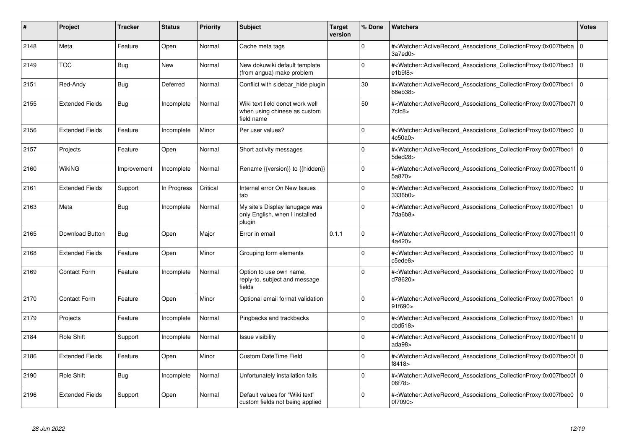| #    | <b>Project</b>         | <b>Tracker</b> | <b>Status</b> | <b>Priority</b> | <b>Subject</b>                                                                | <b>Target</b><br>version | % Done   | <b>Watchers</b>                                                                                                                                              | Votes          |
|------|------------------------|----------------|---------------|-----------------|-------------------------------------------------------------------------------|--------------------------|----------|--------------------------------------------------------------------------------------------------------------------------------------------------------------|----------------|
| 2148 | Meta                   | Feature        | Open          | Normal          | Cache meta tags                                                               |                          | $\Omega$ | # <watcher::activerecord associations="" collectionproxy:0x007fbeba<br="">3a7ed0&gt;</watcher::activerecord>                                                 | 0              |
| 2149 | <b>TOC</b>             | Bug            | <b>New</b>    | Normal          | New dokuwiki default template<br>(from angua) make problem                    |                          | $\Omega$ | # <watcher::activerecord associations="" collectionproxy:0x007fbec3<br="">e1b9f8</watcher::activerecord>                                                     | $\overline{0}$ |
| 2151 | Red-Andy               | <b>Bug</b>     | Deferred      | Normal          | Conflict with sidebar hide plugin                                             |                          | 30       | # <watcher::activerecord_associations_collectionproxy:0x007fbec1<br>68eb38&gt;</watcher::activerecord_associations_collectionproxy:0x007fbec1<br>            | $\overline{0}$ |
| 2155 | <b>Extended Fields</b> | <b>Bug</b>     | Incomplete    | Normal          | Wiki text field donot work well<br>when using chinese as custom<br>field name |                          | 50       | # <watcher::activerecord_associations_collectionproxy:0x007fbec7f 0<br=""  ="">7cfc8&gt;</watcher::activerecord_associations_collectionproxy:0x007fbec7f>    |                |
| 2156 | <b>Extended Fields</b> | Feature        | Incomplete    | Minor           | Per user values?                                                              |                          | $\Omega$ | # <watcher::activerecord_associations_collectionproxy:0x007fbec0<br>4c50a0&gt;</watcher::activerecord_associations_collectionproxy:0x007fbec0<br>            | $\overline{0}$ |
| 2157 | Projects               | Feature        | Open          | Normal          | Short activity messages                                                       |                          | $\Omega$ | # <watcher::activerecord_associations_collectionproxy:0x007fbec1<br>5ded28&gt;</watcher::activerecord_associations_collectionproxy:0x007fbec1<br>            | 0              |
| 2160 | WikiNG                 | Improvement    | Incomplete    | Normal          | Rename {{version}} to {{hidden}}                                              |                          | $\Omega$ | # <watcher::activerecord_associations_collectionproxy:0x007fbec1f 0<br=""  ="">5a870&gt;</watcher::activerecord_associations_collectionproxy:0x007fbec1f>    |                |
| 2161 | <b>Extended Fields</b> | Support        | In Progress   | Critical        | Internal error On New Issues<br>tab                                           |                          | $\Omega$ | # <watcher::activerecord associations="" collectionproxy:0x007fbec0<br="">3336b0&gt;</watcher::activerecord>                                                 | 0              |
| 2163 | Meta                   | Bug            | Incomplete    | Normal          | My site's Display lanugage was<br>only English, when I installed<br>plugin    |                          | $\Omega$ | # <watcher::activerecord associations="" collectionproxy:0x007fbec1<br="">7da6b8&gt;</watcher::activerecord>                                                 | $\overline{0}$ |
| 2165 | Download Button        | Bug            | Open          | Major           | Error in email                                                                | 0.1.1                    | $\Omega$ | # <watcher::activerecord 0<br="" associations="" collectionproxy:0x007fbec1f=""  ="">4a420 &gt;</watcher::activerecord>                                      |                |
| 2168 | <b>Extended Fields</b> | Feature        | Open          | Minor           | Grouping form elements                                                        |                          | $\Omega$ | # <watcher::activerecord associations="" collectionproxy:0x007fbec0<br="">c5ede8&gt;</watcher::activerecord>                                                 | $\overline{0}$ |
| 2169 | <b>Contact Form</b>    | Feature        | Incomplete    | Normal          | Option to use own name,<br>reply-to, subject and message<br>fields            |                          | $\Omega$ | # <watcher::activerecord_associations_collectionproxy:0x007fbec0<br>d78620&gt;</watcher::activerecord_associations_collectionproxy:0x007fbec0<br>            | $\overline{0}$ |
| 2170 | <b>Contact Form</b>    | Feature        | Open          | Minor           | Optional email format validation                                              |                          | $\Omega$ | # <watcher::activerecord associations="" collectionproxy:0x007fbec1<br="">91f690&gt;</watcher::activerecord>                                                 | $\overline{0}$ |
| 2179 | Projects               | Feature        | Incomplete    | Normal          | Pingbacks and trackbacks                                                      |                          | $\Omega$ | # <watcher::activerecord_associations_collectionproxy:0x007fbec1<br>cbd518<sub>&gt;</sub></watcher::activerecord_associations_collectionproxy:0x007fbec1<br> | $\overline{0}$ |
| 2184 | <b>Role Shift</b>      | Support        | Incomplete    | Normal          | Issue visibility                                                              |                          | $\Omega$ | # <watcher::activerecord_associations_collectionproxy:0x007fbec1f 0<br=""  ="">ada98&gt;</watcher::activerecord_associations_collectionproxy:0x007fbec1f>    |                |
| 2186 | <b>Extended Fields</b> | Feature        | Open          | Minor           | <b>Custom DateTime Field</b>                                                  |                          | $\Omega$ | # <watcher::activerecord_associations_collectionproxy:0x007fbec0f 0<br=""  ="">f8418&gt;</watcher::activerecord_associations_collectionproxy:0x007fbec0f>    |                |
| 2190 | Role Shift             | Bug            | Incomplete    | Normal          | Unfortunately installation fails                                              |                          | 0        | # <watcher::activerecord_associations_collectionproxy:0x007fbec0f 0<br=""  ="">06f78&gt;</watcher::activerecord_associations_collectionproxy:0x007fbec0f>    |                |
| 2196 | <b>Extended Fields</b> | Support        | Open          | Normal          | Default values for "Wiki text"<br>custom fields not being applied             |                          | $\Omega$ | # <watcher::activerecord associations="" collectionproxy:0x007fbec0<br="">0f7090&gt;</watcher::activerecord>                                                 | 0              |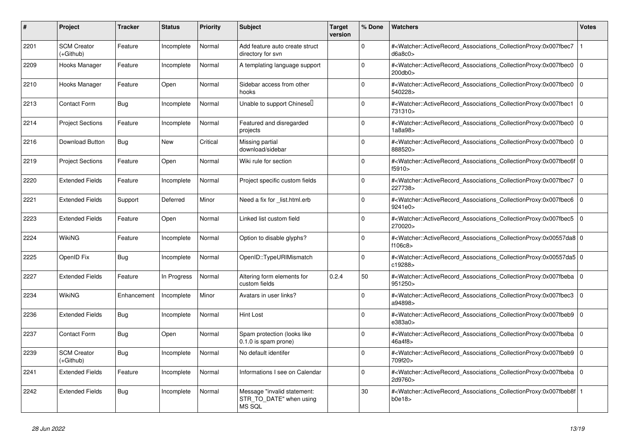| #    | <b>Project</b>                    | <b>Tracker</b> | <b>Status</b> | <b>Priority</b> | <b>Subject</b>                                                          | <b>Target</b><br>version | % Done   | <b>Watchers</b>                                                                                                                                          | <b>Votes</b> |
|------|-----------------------------------|----------------|---------------|-----------------|-------------------------------------------------------------------------|--------------------------|----------|----------------------------------------------------------------------------------------------------------------------------------------------------------|--------------|
| 2201 | <b>SCM Creator</b><br>$(+Github)$ | Feature        | Incomplete    | Normal          | Add feature auto create struct<br>directory for svn                     |                          | $\Omega$ | # <watcher::activerecord_associations_collectionproxy:0x007fbec7<br>d6a8c0</watcher::activerecord_associations_collectionproxy:0x007fbec7<br>            |              |
| 2209 | Hooks Manager                     | Feature        | Incomplete    | Normal          | A templating language support                                           |                          | $\Omega$ | # <watcher::activerecord associations="" collectionproxy:0x007fbec0<br="">200db0&gt;</watcher::activerecord>                                             | $\Omega$     |
| 2210 | Hooks Manager                     | Feature        | Open          | Normal          | Sidebar access from other<br>hooks                                      |                          | $\Omega$ | # <watcher::activerecord associations="" collectionproxy:0x007fbec0=""  <br="">540228&gt;</watcher::activerecord>                                        | $\Omega$     |
| 2213 | Contact Form                      | Bug            | Incomplete    | Normal          | Unable to support Chinesell                                             |                          | $\Omega$ | # <watcher::activerecord_associations_collectionproxy:0x007fbec1 0<br=""  ="">731310&gt;</watcher::activerecord_associations_collectionproxy:0x007fbec1> |              |
| 2214 | <b>Project Sections</b>           | Feature        | Incomplete    | Normal          | Featured and disregarded<br>projects                                    |                          | $\Omega$ | # <watcher::activerecord_associations_collectionproxy:0x007fbec0<br>1a8a98&gt;</watcher::activerecord_associations_collectionproxy:0x007fbec0<br>        | $\mathbf 0$  |
| 2216 | Download Button                   | <b>Bug</b>     | New           | Critical        | Missing partial<br>download/sidebar                                     |                          | $\Omega$ | # <watcher::activerecord_associations_collectionproxy:0x007fbec0 0<br=""  ="">888520&gt;</watcher::activerecord_associations_collectionproxy:0x007fbec0> |              |
| 2219 | <b>Project Sections</b>           | Feature        | Open          | Normal          | Wiki rule for section                                                   |                          | $\Omega$ | # <watcher::activerecord 0<br="" associations="" collectionproxy:0x007fbec6f=""  ="">f5910&gt;</watcher::activerecord>                                   |              |
| 2220 | <b>Extended Fields</b>            | Feature        | Incomplete    | Normal          | Project specific custom fields                                          |                          | $\Omega$ | # <watcher::activerecord_associations_collectionproxy:0x007fbec7<br>227738&gt;</watcher::activerecord_associations_collectionproxy:0x007fbec7<br>        | $\mathbf 0$  |
| 2221 | <b>Extended Fields</b>            | Support        | Deferred      | Minor           | Need a fix for list.html.erb                                            |                          | $\Omega$ | # <watcher::activerecord_associations_collectionproxy:0x007fbec6 0<br=""  ="">9241e0&gt;</watcher::activerecord_associations_collectionproxy:0x007fbec6> |              |
| 2223 | <b>Extended Fields</b>            | Feature        | Open          | Normal          | Linked list custom field                                                |                          | $\Omega$ | # <watcher::activerecord_associations_collectionproxy:0x007fbec5 0<br=""  ="">270020&gt;</watcher::activerecord_associations_collectionproxy:0x007fbec5> |              |
| 2224 | WikiNG                            | Feature        | Incomplete    | Normal          | Option to disable glyphs?                                               |                          | $\Omega$ | # <watcher::activerecord 0<br="" associations="" collectionproxy:0x00557da8=""  ="">f106c8&gt;</watcher::activerecord>                                   |              |
| 2225 | OpenID Fix                        | <b>Bug</b>     | Incomplete    | Normal          | OpenID::TypeURIMismatch                                                 |                          | $\Omega$ | # <watcher::activerecord_associations_collectionproxy:0x00557da5 0<br=""  ="">c19288&gt;</watcher::activerecord_associations_collectionproxy:0x00557da5> |              |
| 2227 | <b>Extended Fields</b>            | Feature        | In Progress   | Normal          | Altering form elements for<br>custom fields                             | 0.2.4                    | 50       | # <watcher::activerecord_associations_collectionproxy:0x007fbeba 0<br=""  ="">951250&gt;</watcher::activerecord_associations_collectionproxy:0x007fbeba> |              |
| 2234 | WikiNG                            | Enhancement    | Incomplete    | Minor           | Avatars in user links?                                                  |                          | $\Omega$ | # <watcher::activerecord associations="" collectionproxy:0x007fbec3<br="">a94898&gt;</watcher::activerecord>                                             | $\Omega$     |
| 2236 | <b>Extended Fields</b>            | Bug            | Incomplete    | Normal          | Hint Lost                                                               |                          | $\Omega$ | # <watcher::activerecord 0<br="" associations="" collectionproxy:0x007fbeb9=""  ="">e383a0&gt;</watcher::activerecord>                                   |              |
| 2237 | Contact Form                      | Bug            | Open          | Normal          | Spam protection (looks like<br>0.1.0 is spam prone)                     |                          | $\Omega$ | # <watcher::activerecord_associations_collectionproxy:0x007fbeba  <br="">46a4f8&gt;</watcher::activerecord_associations_collectionproxy:0x007fbeba>      | $\mathbf 0$  |
| 2239 | <b>SCM Creator</b><br>(+Github)   | Bug            | Incomplete    | Normal          | No default identifer                                                    |                          | $\Omega$ | # <watcher::activerecord_associations_collectionproxy:0x007fbeb9<br>709f20&gt;</watcher::activerecord_associations_collectionproxy:0x007fbeb9<br>        | $\Omega$     |
| 2241 | <b>Extended Fields</b>            | Feature        | Incomplete    | Normal          | Informations I see on Calendar                                          |                          | $\Omega$ | # <watcher::activerecord_associations_collectionproxy:0x007fbeba 0<br=""  ="">2d9760&gt;</watcher::activerecord_associations_collectionproxy:0x007fbeba> |              |
| 2242 | <b>Extended Fields</b>            | Bug            | Incomplete    | Normal          | Message "invalid statement:<br>STR TO DATE" when using<br><b>MS SQL</b> |                          | 30       | # <watcher::activerecord associations="" collectionproxy:0x007fbeb8f<br="">b0e18</watcher::activerecord>                                                 |              |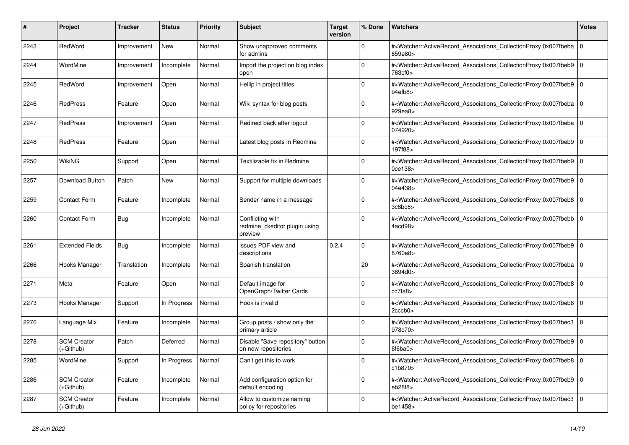| #    | <b>Project</b>                    | Tracker     | <b>Status</b> | <b>Priority</b> | <b>Subject</b>                                               | <b>Target</b><br>version | % Done   | <b>Watchers</b>                                                                                                                                      | <b>Votes</b> |
|------|-----------------------------------|-------------|---------------|-----------------|--------------------------------------------------------------|--------------------------|----------|------------------------------------------------------------------------------------------------------------------------------------------------------|--------------|
| 2243 | RedWord                           | Improvement | <b>New</b>    | Normal          | Show unapproved comments<br>for admins                       |                          | $\Omega$ | # <watcher::activerecord_associations_collectionproxy:0x007fbeba  <br="">659e80&gt;</watcher::activerecord_associations_collectionproxy:0x007fbeba>  | $\mathbf 0$  |
| 2244 | WordMine                          | Improvement | Incomplete    | Normal          | Import the project on blog index<br>open                     |                          | $\Omega$ | # <watcher::activerecord associations="" collectionproxy:0x007fbeb9<br="">763cf0&gt;</watcher::activerecord>                                         | $\Omega$     |
| 2245 | RedWord                           | Improvement | Open          | Normal          | Hellip in project titles                                     |                          | $\Omega$ | # <watcher::activerecord 0<br="" associations="" collectionproxy:0x007fbeb9=""  ="">b4efb8</watcher::activerecord>                                   |              |
| 2246 | <b>RedPress</b>                   | Feature     | Open          | Normal          | Wiki syntax for blog posts                                   |                          | $\Omega$ | # <watcher::activerecord_associations_collectionproxy:0x007fbeba  <br="">929ea8&gt;</watcher::activerecord_associations_collectionproxy:0x007fbeba>  | $\mathbf 0$  |
| 2247 | <b>RedPress</b>                   | Improvement | Open          | Normal          | Redirect back after logout                                   |                          | $\Omega$ | # <watcher::activerecord_associations_collectionproxy:0x007fbeba  <br="">074920&gt;</watcher::activerecord_associations_collectionproxy:0x007fbeba>  | $\mathbf 0$  |
| 2248 | <b>RedPress</b>                   | Feature     | Open          | Normal          | Latest blog posts in Redmine                                 |                          | $\Omega$ | # <watcher::activerecord 0<br="" associations="" collectionproxy:0x007fbeb9=""  ="">197f88&gt;</watcher::activerecord>                               |              |
| 2250 | WikiNG                            | Support     | Open          | Normal          | Textilizable fix in Redmine                                  |                          | $\Omega$ | # <watcher::activerecord associations="" collectionproxy:0x007fbeb9<br=""><math>0</math>ce<math>138</math></watcher::activerecord>                   | $\mathbf 0$  |
| 2257 | <b>Download Button</b>            | Patch       | <b>New</b>    | Normal          | Support for multiple downloads                               |                          | $\Omega$ | # <watcher::activerecord_associations_collectionproxy:0x007fbeb9  <br="">04e438&gt;</watcher::activerecord_associations_collectionproxy:0x007fbeb9>  | $\Omega$     |
| 2259 | <b>Contact Form</b>               | Feature     | Incomplete    | Normal          | Sender name in a message                                     |                          | $\Omega$ | # <watcher::activerecord_associations_collectionproxy:0x007fbeb8 0<br=""  ="">3c8bc8</watcher::activerecord_associations_collectionproxy:0x007fbeb8> |              |
| 2260 | <b>Contact Form</b>               | Bug         | Incomplete    | Normal          | Conflicting with<br>redmine_ckeditor plugin using<br>preview |                          | $\Omega$ | # <watcher::activerecord associations="" collectionproxy:0x007fbebb<br="">4acd98&gt;</watcher::activerecord>                                         | $\mathbf 0$  |
| 2261 | <b>Extended Fields</b>            | Bug         | Incomplete    | Normal          | issues PDF view and<br>descriptions                          | 0.2.4                    | $\Omega$ | # <watcher::activerecord associations="" collectionproxy:0x007fbeb9<br="">8760e8&gt;</watcher::activerecord>                                         | $\mathbf 0$  |
| 2266 | Hooks Manager                     | Translation | Incomplete    | Normal          | Spanish translation                                          |                          | 20       | # <watcher::activerecord 0<br="" associations="" collectionproxy:0x007fbeba=""  ="">3894d0&gt;</watcher::activerecord>                               |              |
| 2271 | Meta                              | Feature     | Open          | Normal          | Default image for<br>OpenGraph/Twitter Cards                 |                          | $\Omega$ | # <watcher::activerecord_associations_collectionproxy:0x007fbeb8  <br="">cc7fa8&gt;</watcher::activerecord_associations_collectionproxy:0x007fbeb8>  | $\Omega$     |
| 2273 | Hooks Manager                     | Support     | In Progress   | Normal          | Hook is invalid                                              |                          | $\Omega$ | # <watcher::activerecord 0<br="" associations="" collectionproxy:0x007fbeb8=""  ="">2cccb0&gt;</watcher::activerecord>                               |              |
| 2276 | Language Mix                      | Feature     | Incomplete    | Normal          | Group posts / show only the<br>primary article               |                          | $\Omega$ | # <watcher::activerecord associations="" collectionproxy:0x007fbec3<br="">978c70&gt;</watcher::activerecord>                                         | $\mathbf 0$  |
| 2278 | <b>SCM Creator</b><br>(+Github)   | Patch       | Deferred      | Normal          | Disable "Save repository" button<br>on new repositories      |                          | $\Omega$ | # <watcher::activerecord_associations_collectionproxy:0x007fbeb9<br>6f6ba0&gt;</watcher::activerecord_associations_collectionproxy:0x007fbeb9<br>    | $\Omega$     |
| 2285 | WordMine                          | Support     | In Progress   | Normal          | Can't get this to work                                       |                          | $\Omega$ | # <watcher::activerecord associations="" collectionproxy:0x007fbeb8=""  <br="">c1b870&gt;</watcher::activerecord>                                    | $\mathbf 0$  |
| 2286 | <b>SCM Creator</b><br>(+Github)   | Feature     | Incomplete    | Normal          | Add configuration option for<br>default encoding             |                          | $\Omega$ | # <watcher::activerecord_associations_collectionproxy:0x007fbeb9  <br="">eb28f8</watcher::activerecord_associations_collectionproxy:0x007fbeb9>      | $\mathbf 0$  |
| 2287 | <b>SCM Creator</b><br>$(+Github)$ | Feature     | Incomplete    | Normal          | Allow to customize naming<br>policy for repositories         |                          | $\Omega$ | # <watcher::activerecord_associations_collectionproxy:0x007fbec3<br>be1458&gt;</watcher::activerecord_associations_collectionproxy:0x007fbec3<br>    | $\Omega$     |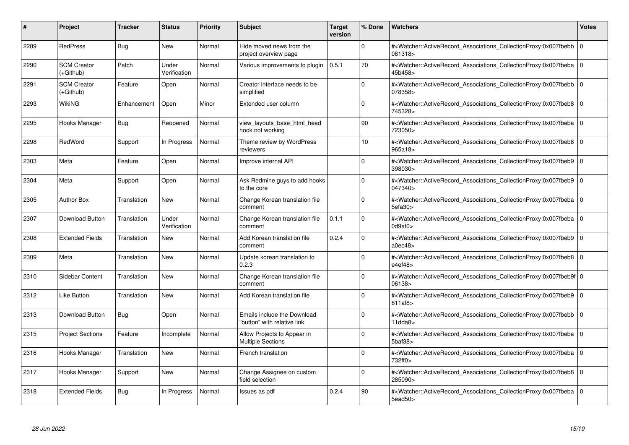| #    | Project                         | <b>Tracker</b> | <b>Status</b>         | <b>Priority</b> | <b>Subject</b>                                             | <b>Target</b><br>version | % Done      | <b>Watchers</b>                                                                                                                                                                | <b>Votes</b> |
|------|---------------------------------|----------------|-----------------------|-----------------|------------------------------------------------------------|--------------------------|-------------|--------------------------------------------------------------------------------------------------------------------------------------------------------------------------------|--------------|
| 2289 | <b>RedPress</b>                 | <b>Bug</b>     | <b>New</b>            | Normal          | Hide moved news from the<br>project overview page          |                          | $\Omega$    | # <watcher::activerecord associations="" collectionproxy:0x007fbebb=""  <br="">081318&gt;</watcher::activerecord>                                                              | $\mathbf 0$  |
| 2290 | <b>SCM Creator</b><br>(+Github) | Patch          | Under<br>Verification | Normal          | Various improvements to plugin                             | 0.5.1                    | 70          | # <watcher::activerecord 0<br="" associations="" collectionproxy:0x007fbeba=""  ="">45b458&gt;</watcher::activerecord>                                                         |              |
| 2291 | <b>SCM Creator</b><br>(+Github) | Feature        | Open                  | Normal          | Creator interface needs to be<br>simplified                |                          | $\Omega$    | # <watcher::activerecord_associations_collectionproxy:0x007fbebb<br>078358&gt;</watcher::activerecord_associations_collectionproxy:0x007fbebb<br>                              | $\Omega$     |
| 2293 | <b>WikiNG</b>                   | Enhancement    | Open                  | Minor           | Extended user column                                       |                          | $\Omega$    | # <watcher::activerecord_associations_collectionproxy:0x007fbeb8 0<br="">745328&gt;</watcher::activerecord_associations_collectionproxy:0x007fbeb8>                            |              |
| 2295 | Hooks Manager                   | Bug            | Reopened              | Normal          | view_layouts_base_html_head<br>hook not working            |                          | 90          | # <watcher::activerecord_associations_collectionproxy:0x007fbeba  <br="">723050&gt;</watcher::activerecord_associations_collectionproxy:0x007fbeba>                            | $\mathbf 0$  |
| 2298 | RedWord                         | Support        | In Progress           | Normal          | Theme review by WordPress<br>reviewers                     |                          | 10          | # <watcher::activerecord_associations_collectionproxy:0x007fbeb8 0<br="">965a18&gt;</watcher::activerecord_associations_collectionproxy:0x007fbeb8>                            |              |
| 2303 | Meta                            | Feature        | Open                  | Normal          | Improve internal API                                       |                          | $\Omega$    | # <watcher::activerecord associations="" collectionproxy:0x007fbeb9<br="">398030&gt;</watcher::activerecord>                                                                   | $\mathbf 0$  |
| 2304 | Meta                            | Support        | Open                  | Normal          | Ask Redmine guys to add hooks<br>to the core               |                          | $\Omega$    | # <watcher::activerecord_associations_collectionproxy:0x007fbeb9  <br="">047340&gt;</watcher::activerecord_associations_collectionproxy:0x007fbeb9>                            | $\mathbf 0$  |
| 2305 | <b>Author Box</b>               | Translation    | <b>New</b>            | Normal          | Change Korean translation file<br>comment                  |                          | $\Omega$    | # <watcher::activerecord associations="" collectionproxy:0x007fbeba<br="">5efa30&gt;</watcher::activerecord>                                                                   | $\mathbf 0$  |
| 2307 | Download Button                 | Translation    | Under<br>Verification | Normal          | Change Korean translation file<br>comment                  | 0.1.1                    | $\Omega$    | # <watcher::activerecord 0<br="" associations="" collectionproxy:0x007fbeba=""  ="">0d9af0</watcher::activerecord>                                                             |              |
| 2308 | <b>Extended Fields</b>          | Translation    | New                   | Normal          | Add Korean translation file<br>comment                     | 0.2.4                    | $\Omega$    | # <watcher::activerecord_associations_collectionproxy:0x007fbeb9 0<br=""  ="">a0ec48</watcher::activerecord_associations_collectionproxy:0x007fbeb9>                           |              |
| 2309 | Meta                            | Translation    | <b>New</b>            | Normal          | Update korean translation to<br>0.2.3                      |                          | $\Omega$    | # <watcher::activerecord_associations_collectionproxy:0x007fbeb8 0<br=""  ="">e4ef48&gt;</watcher::activerecord_associations_collectionproxy:0x007fbeb8>                       |              |
| 2310 | Sidebar Content                 | Translation    | <b>New</b>            | Normal          | Change Korean translation file<br>comment                  |                          | $\Omega$    | # <watcher::activerecord 0<br="" associations="" collectionproxy:0x007fbeb9f=""  ="">06138&gt;</watcher::activerecord>                                                         |              |
| 2312 | Like Button                     | Translation    | <b>New</b>            | Normal          | Add Korean translation file                                |                          | $\Omega$    | # <watcher::activerecord_associations_collectionproxy:0x007fbeb9  <br="">811af8</watcher::activerecord_associations_collectionproxy:0x007fbeb9>                                | $\Omega$     |
| 2313 | Download Button                 | Bug            | Open                  | Normal          | Emails include the Download<br>"button" with relative link |                          | $\Omega$    | # <watcher::activerecord 0<br="" associations="" collectionproxy:0x007fbebb=""  ="">11dda8</watcher::activerecord>                                                             |              |
| 2315 | <b>Project Sections</b>         | Feature        | Incomplete            | Normal          | Allow Projects to Appear in<br><b>Multiple Sections</b>    |                          | $\Omega$    | # <watcher::activerecord_associations_collectionproxy:0x007fbeba 0<br=""  =""><math>5</math>baf<math>38</math></watcher::activerecord_associations_collectionproxy:0x007fbeba> |              |
| 2316 | Hooks Manager                   | Translation    | <b>New</b>            | Normal          | French translation                                         |                          | $\Omega$    | # <watcher::activerecord_associations_collectionproxy:0x007fbeba  <br="">732ff0&gt;</watcher::activerecord_associations_collectionproxy:0x007fbeba>                            | $\mathbf 0$  |
| 2317 | Hooks Manager                   | Support        | <b>New</b>            | Normal          | Change Assignee on custom<br>field selection               |                          | $\mathbf 0$ | # <watcher::activerecord 0<br="" associations="" collectionproxy:0x007fbeb8=""  ="">285090&gt;</watcher::activerecord>                                                         |              |
| 2318 | <b>Extended Fields</b>          | <b>Bug</b>     | In Progress           | Normal          | Issues as pdf                                              | 0.2.4                    | 90          | # <watcher::activerecord_associations_collectionproxy:0x007fbeba 0<br=""  ="">5ead50&gt;</watcher::activerecord_associations_collectionproxy:0x007fbeba>                       |              |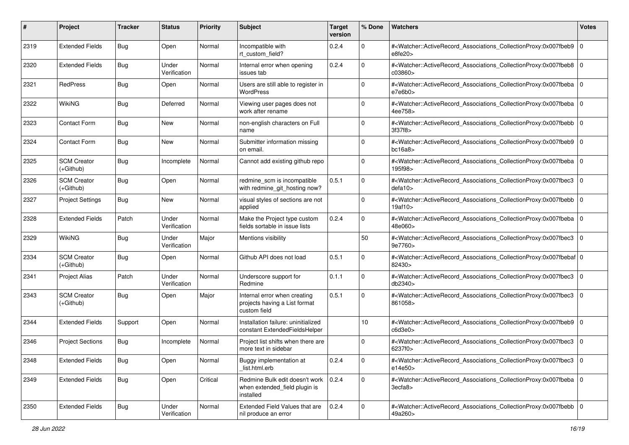| #    | Project                           | Tracker    | <b>Status</b>         | <b>Priority</b> | <b>Subject</b>                                                                       | <b>Target</b><br>version | % Done      | Watchers                                                                                                                                                       | <b>Votes</b> |
|------|-----------------------------------|------------|-----------------------|-----------------|--------------------------------------------------------------------------------------|--------------------------|-------------|----------------------------------------------------------------------------------------------------------------------------------------------------------------|--------------|
| 2319 | <b>Extended Fields</b>            | Bug        | Open                  | Normal          | Incompatible with<br>rt_custom_field?                                                | 0.2.4                    | $\mathbf 0$ | # <watcher::activerecord_associations_collectionproxy:0x007fbeb9<br>e8fe20</watcher::activerecord_associations_collectionproxy:0x007fbeb9<br>                  | $\mathbf{0}$ |
| 2320 | <b>Extended Fields</b>            | Bug        | Under<br>Verification | Normal          | Internal error when opening<br>issues tab                                            | 0.2.4                    | $\Omega$    | # <watcher::activerecord_associations_collectionproxy:0x007fbeb8 0<br="">c03860&gt;</watcher::activerecord_associations_collectionproxy:0x007fbeb8>            |              |
| 2321 | <b>RedPress</b>                   | Bug        | Open                  | Normal          | Users are still able to register in<br>WordPress                                     |                          | $\Omega$    | # <watcher::activerecord_associations_collectionproxy:0x007fbeba 0<br=""  ="">e7e6b0</watcher::activerecord_associations_collectionproxy:0x007fbeba>           |              |
| 2322 | WikiNG                            | <b>Bug</b> | Deferred              | Normal          | Viewing user pages does not<br>work after rename                                     |                          | $\Omega$    | # <watcher::activerecord_associations_collectionproxy:0x007fbeba 0<br="">4ee758&gt;</watcher::activerecord_associations_collectionproxy:0x007fbeba>            |              |
| 2323 | Contact Form                      | Bug        | New                   | Normal          | non-english characters on Full<br>name                                               |                          | $\Omega$    | # <watcher::activerecord_associations_collectionproxy:0x007fbebb 0<br=""  ="">3f37f8</watcher::activerecord_associations_collectionproxy:0x007fbebb>           |              |
| 2324 | <b>Contact Form</b>               | Bug        | <b>New</b>            | Normal          | Submitter information missing<br>on email.                                           |                          | $\Omega$    | # <watcher::activerecord_associations_collectionproxy:0x007fbeb9  <br="">bc16a8</watcher::activerecord_associations_collectionproxy:0x007fbeb9>                | $\mathbf 0$  |
| 2325 | <b>SCM Creator</b><br>$(+Github)$ | Bug        | Incomplete            | Normal          | Cannot add existing github repo                                                      |                          | $\Omega$    | # <watcher::activerecord_associations_collectionproxy:0x007fbeba  <br="">195f98&gt;</watcher::activerecord_associations_collectionproxy:0x007fbeba>            | $\mathbf 0$  |
| 2326 | <b>SCM Creator</b><br>(+Github)   | Bug        | Open                  | Normal          | redmine_scm is incompatible<br>with redmine_git_hosting now?                         | 0.5.1                    | $\Omega$    | # <watcher::activerecord_associations_collectionproxy:0x007fbec3 0<br="">defa10<sub>&gt;</sub></watcher::activerecord_associations_collectionproxy:0x007fbec3> |              |
| 2327 | <b>Project Settings</b>           | Bug        | New                   | Normal          | visual styles of sections are not<br>applied                                         |                          | $\Omega$    | # <watcher::activerecord_associations_collectionproxy:0x007fbebb  <br="">19af10&gt;</watcher::activerecord_associations_collectionproxy:0x007fbebb>            | $\mathbf 0$  |
| 2328 | <b>Extended Fields</b>            | Patch      | Under<br>Verification | Normal          | Make the Project type custom<br>fields sortable in issue lists                       | 0.2.4                    | $\Omega$    | # <watcher::activerecord_associations_collectionproxy:0x007fbeba 0<br=""  ="">48e060&gt;</watcher::activerecord_associations_collectionproxy:0x007fbeba>       |              |
| 2329 | <b>WikiNG</b>                     | Bug        | Under<br>Verification | Major           | Mentions visibility                                                                  |                          | 50          | # <watcher::activerecord_associations_collectionproxy:0x007fbec3<br>9e7760&gt;</watcher::activerecord_associations_collectionproxy:0x007fbec3<br>              | $\mathbf 0$  |
| 2334 | <b>SCM Creator</b><br>$(+Github)$ | Bug        | Open                  | Normal          | Github API does not load                                                             | 0.5.1                    | $\Omega$    | # <watcher::activerecord_associations_collectionproxy:0x007fbebaf 0<br=""  ="">82430&gt;</watcher::activerecord_associations_collectionproxy:0x007fbebaf>      |              |
| 2341 | <b>Project Alias</b>              | Patch      | Under<br>Verification | Normal          | Underscore support for<br>Redmine                                                    | 0.1.1                    | $\Omega$    | # <watcher::activerecord_associations_collectionproxy:0x007fbec3 0<br="">db2340&gt;</watcher::activerecord_associations_collectionproxy:0x007fbec3>            |              |
| 2343 | <b>SCM Creator</b><br>$(+Github)$ | Bug        | Open                  | Major           | Internal error when creating<br>projects having a List format<br>custom field        | 0.5.1                    | $\Omega$    | # <watcher::activerecord_associations_collectionproxy:0x007fbec3<br>861058&gt;</watcher::activerecord_associations_collectionproxy:0x007fbec3<br>              | $\mathbf 0$  |
| 2344 | <b>Extended Fields</b>            | Support    | Open                  | Normal          | Installation failure: uninitialized<br>constant ExtendedFieldsHelper                 |                          | 10          | # <watcher::activerecord_associations_collectionproxy:0x007fbeb9 0<br="">c6d3e0</watcher::activerecord_associations_collectionproxy:0x007fbeb9>                |              |
| 2346 | <b>Project Sections</b>           | Bug        | Incomplete            | Normal          | Project list shifts when there are<br>more text in sidebar                           |                          | $\mathbf 0$ | # <watcher::activerecord_associations_collectionproxy:0x007fbec3 0<br="">6237f0&gt;</watcher::activerecord_associations_collectionproxy:0x007fbec3>            |              |
| 2348 | <b>Extended Fields</b>            | Bug        | Open                  | Normal          | Buggy implementation at<br>list.html.erb                                             | 0.2.4                    | 0           | # <watcher::activerecord 0<br="" associations="" collectionproxy:0x007fbec3="">e14e50&gt;</watcher::activerecord>                                              |              |
| 2349 | <b>Extended Fields</b>            | Bug        | Open                  | Critical        | Redmine Bulk edit doesn't work   0.2.4<br>when extended_field plugin is<br>installed |                          | $\mathbf 0$ | # <watcher::activerecord 0<br="" associations="" collectionproxy:0x007fbeba="">3ecfa8&gt;</watcher::activerecord>                                              |              |
| 2350 | <b>Extended Fields</b>            | Bug        | Under<br>Verification | Normal          | Extended Field Values that are<br>nil produce an error                               | 0.2.4                    | $\mathbf 0$ | # <watcher::activerecord 0<br="" associations="" collectionproxy:0x007fbebb="">49a260&gt;</watcher::activerecord>                                              |              |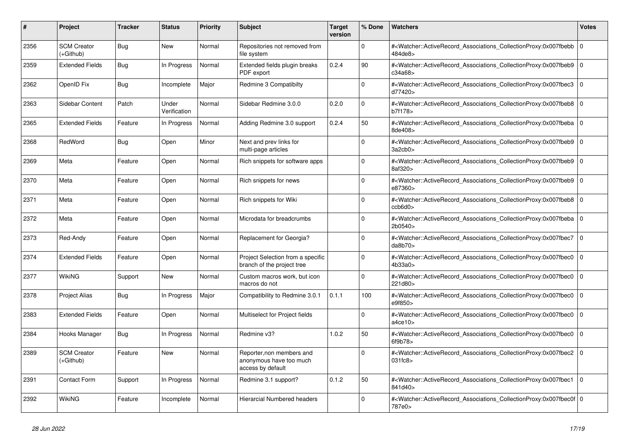| #    | <b>Project</b>                  | Tracker    | <b>Status</b>         | <b>Priority</b> | <b>Subject</b>                                                            | <b>Target</b><br>version | % Done   | <b>Watchers</b>                                                                                                                                          | <b>Votes</b> |
|------|---------------------------------|------------|-----------------------|-----------------|---------------------------------------------------------------------------|--------------------------|----------|----------------------------------------------------------------------------------------------------------------------------------------------------------|--------------|
| 2356 | <b>SCM Creator</b><br>(+Github) | Bug        | <b>New</b>            | Normal          | Repositories not removed from<br>file system                              |                          | $\Omega$ | # <watcher::activerecord_associations_collectionproxy:0x007fbebb<br>484de8&gt;</watcher::activerecord_associations_collectionproxy:0x007fbebb<br>        | $\mathbf 0$  |
| 2359 | <b>Extended Fields</b>          | <b>Bug</b> | In Progress           | Normal          | Extended fields plugin breaks<br>PDF export                               | 0.2.4                    | 90       | # <watcher::activerecord associations="" collectionproxy:0x007fbeb9<br="">c34a68&gt;</watcher::activerecord>                                             | $\Omega$     |
| 2362 | OpenID Fix                      | <b>Bug</b> | Incomplete            | Major           | Redmine 3 Compatibilty                                                    |                          | $\Omega$ | # <watcher::activerecord_associations_collectionproxy:0x007fbec3 0<br=""  ="">d77420&gt;</watcher::activerecord_associations_collectionproxy:0x007fbec3> |              |
| 2363 | Sidebar Content                 | Patch      | Under<br>Verification | Normal          | Sidebar Redmine 3.0.0                                                     | 0.2.0                    | $\Omega$ | # <watcher::activerecord associations="" collectionproxy:0x007fbeb8<br="">b7f178&gt;</watcher::activerecord>                                             | $\Omega$     |
| 2365 | <b>Extended Fields</b>          | Feature    | In Progress           | Normal          | Adding Redmine 3.0 support                                                | 0.2.4                    | 50       | # <watcher::activerecord 0<br="" associations="" collectionproxy:0x007fbeba=""  ="">8de408&gt;</watcher::activerecord>                                   |              |
| 2368 | RedWord                         | <b>Bug</b> | Open                  | Minor           | Next and prev links for<br>multi-page articles                            |                          | $\Omega$ | # <watcher::activerecord_associations_collectionproxy:0x007fbeb9 0<br=""  ="">3a2cb0&gt;</watcher::activerecord_associations_collectionproxy:0x007fbeb9> |              |
| 2369 | Meta                            | Feature    | Open                  | Normal          | Rich snippets for software apps                                           |                          | $\Omega$ | # <watcher::activerecord_associations_collectionproxy:0x007fbeb9<br>8af320&gt;</watcher::activerecord_associations_collectionproxy:0x007fbeb9<br>        | $\Omega$     |
| 2370 | Meta                            | Feature    | Open                  | Normal          | Rich snippets for news                                                    |                          | $\Omega$ | # <watcher::activerecord associations="" collectionproxy:0x007fbeb9<br="">e87360&gt;</watcher::activerecord>                                             | $\mathbf 0$  |
| 2371 | Meta                            | Feature    | Open                  | Normal          | Rich snippets for Wiki                                                    |                          | $\Omega$ | # <watcher::activerecord 0<br="" associations="" collectionproxy:0x007fbeb8="">ccb6d0</watcher::activerecord>                                            |              |
| 2372 | Meta                            | Feature    | Open                  | Normal          | Microdata for breadcrumbs                                                 |                          | $\Omega$ | # <watcher::activerecord_associations_collectionproxy:0x007fbeba 0<br=""  ="">2b0540&gt;</watcher::activerecord_associations_collectionproxy:0x007fbeba> |              |
| 2373 | Red-Andy                        | Feature    | Open                  | Normal          | Replacement for Georgia?                                                  |                          | $\Omega$ | # <watcher::activerecord_associations_collectionproxy:0x007fbec7  <br="">da8b70</watcher::activerecord_associations_collectionproxy:0x007fbec7>          | $\mathbf 0$  |
| 2374 | <b>Extended Fields</b>          | Feature    | Open                  | Normal          | Project Selection from a specific<br>branch of the project tree           |                          | $\Omega$ | # <watcher::activerecord associations="" collectionproxy:0x007fbec0<br="">4b33a0&gt;</watcher::activerecord>                                             | $\Omega$     |
| 2377 | WikiNG                          | Support    | New                   | Normal          | Custom macros work, but icon<br>macros do not                             |                          | $\Omega$ | # <watcher::activerecord associations="" collectionproxy:0x007fbec0<br="">221d80&gt;</watcher::activerecord>                                             | $\mathbf 0$  |
| 2378 | <b>Project Alias</b>            | Bug        | In Progress           | Major           | Compatibility to Redmine 3.0.1                                            | 0.1.1                    | 100      | # <watcher::activerecord associations="" collectionproxy:0x007fbec0<br="">e9f850&gt;</watcher::activerecord>                                             | $\mathbf 0$  |
| 2383 | <b>Extended Fields</b>          | Feature    | Open                  | Normal          | Multiselect for Project fields                                            |                          | $\Omega$ | # <watcher::activerecord_associations_collectionproxy:0x007fbec0<br>a4ce10&gt;</watcher::activerecord_associations_collectionproxy:0x007fbec0<br>        | $\mathbf{0}$ |
| 2384 | Hooks Manager                   | Bug        | In Progress           | Normal          | Redmine v3?                                                               | 1.0.2                    | 50       | # <watcher::activerecord_associations_collectionproxy:0x007fbec0<br>6f9b78&gt;</watcher::activerecord_associations_collectionproxy:0x007fbec0<br>        | $\mathbf 0$  |
| 2389 | <b>SCM Creator</b><br>(+Github) | Feature    | New                   | Normal          | Reporter, non members and<br>anonymous have too much<br>access by default |                          | $\Omega$ | # <watcher::activerecord associations="" collectionproxy:0x007fbec2<br="">031fc8</watcher::activerecord>                                                 | $\Omega$     |
| 2391 | <b>Contact Form</b>             | Support    | In Progress           | Normal          | Redmine 3.1 support?                                                      | 0.1.2                    | 50       | # <watcher::activerecord_associations_collectionproxy:0x007fbec1 0<br=""  ="">841d40&gt;</watcher::activerecord_associations_collectionproxy:0x007fbec1> |              |
| 2392 | WikiNG                          | Feature    | Incomplete            | Normal          | <b>Hierarcial Numbered headers</b>                                        |                          | $\Omega$ | # <watcher::activerecord 0<br="" associations="" collectionproxy:0x007fbec0f=""  ="">787e0&gt;</watcher::activerecord>                                   |              |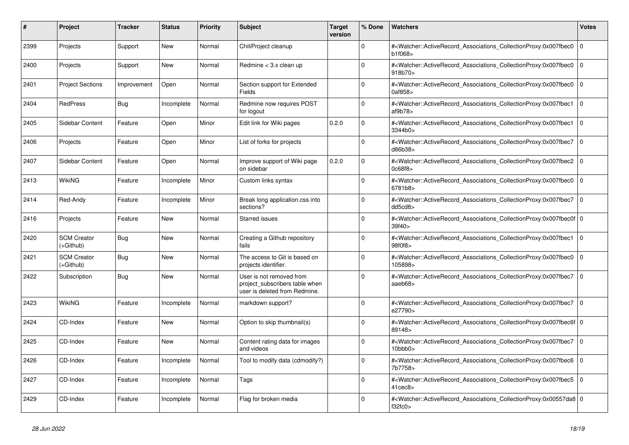| #    | Project                         | <b>Tracker</b> | <b>Status</b> | <b>Priority</b> | <b>Subject</b>                                                                              | <b>Target</b><br>version | % Done      | <b>Watchers</b>                                                                                                                                                         | <b>Votes</b> |
|------|---------------------------------|----------------|---------------|-----------------|---------------------------------------------------------------------------------------------|--------------------------|-------------|-------------------------------------------------------------------------------------------------------------------------------------------------------------------------|--------------|
| 2399 | Projects                        | Support        | <b>New</b>    | Normal          | ChiliProject cleanup                                                                        |                          | $\Omega$    | # <watcher::activerecord_associations_collectionproxy:0x007fbec0<br>b1f068&gt;</watcher::activerecord_associations_collectionproxy:0x007fbec0<br>                       | $\mathbf 0$  |
| 2400 | Projects                        | Support        | <b>New</b>    | Normal          | Redmine $<$ 3.x clean up                                                                    |                          | $\Omega$    | # <watcher::activerecord associations="" collectionproxy:0x007fbec0<br="">918b70&gt;</watcher::activerecord>                                                            | $\Omega$     |
| 2401 | <b>Project Sections</b>         | Improvement    | Open          | Normal          | Section support for Extended<br><b>Fields</b>                                               |                          | $\Omega$    | # <watcher::activerecord_associations_collectionproxy:0x007fbec0 0<br="">0af858&gt;</watcher::activerecord_associations_collectionproxy:0x007fbec0>                     |              |
| 2404 | <b>RedPress</b>                 | Bug            | Incomplete    | Normal          | Redmine now requires POST<br>for logout                                                     |                          | $\Omega$    | # <watcher::activerecord_associations_collectionproxy:0x007fbec1<br>af9b78</watcher::activerecord_associations_collectionproxy:0x007fbec1<br>                           | $\mathbf 0$  |
| 2405 | Sidebar Content                 | Feature        | Open          | Minor           | Edit link for Wiki pages                                                                    | 0.2.0                    | $\Omega$    | # <watcher::activerecord associations="" collectionproxy:0x007fbec1<br="">3344b0&gt;</watcher::activerecord>                                                            | $\Omega$     |
| 2406 | Projects                        | Feature        | Open          | Minor           | List of forks for projects                                                                  |                          | $\Omega$    | # <watcher::activerecord 0<br="" associations="" collectionproxy:0x007fbec7=""  ="">d86b38&gt;</watcher::activerecord>                                                  |              |
| 2407 | Sidebar Content                 | Feature        | Open          | Normal          | Improve support of Wiki page<br>on sidebar                                                  | 0.2.0                    | $\Omega$    | # <watcher::activerecord associations="" collectionproxy:0x007fbec2<br="">0c68f8&gt;</watcher::activerecord>                                                            | $\mathbf 0$  |
| 2413 | <b>WikiNG</b>                   | Feature        | Incomplete    | Minor           | Custom links syntax                                                                         |                          | $\Omega$    | # <watcher::activerecord associations="" collectionproxy:0x007fbec0<br="">6781b8&gt;</watcher::activerecord>                                                            | $\Omega$     |
| 2414 | Red-Andy                        | Feature        | Incomplete    | Minor           | Break long application.css into<br>sections?                                                |                          | $\Omega$    | # <watcher::activerecord_associations_collectionproxy:0x007fbec7 0<br=""  ="">dd5cd8&gt;</watcher::activerecord_associations_collectionproxy:0x007fbec7>                |              |
| 2416 | Projects                        | Feature        | <b>New</b>    | Normal          | <b>Starred issues</b>                                                                       |                          | $\Omega$    | # <watcher::activerecord 0<br="" associations="" collectionproxy:0x007fbec0f=""  ="">39f40</watcher::activerecord>                                                      |              |
| 2420 | <b>SCM Creator</b><br>(+Github) | <b>Bug</b>     | <b>New</b>    | Normal          | Creating a Github repository<br>fails                                                       |                          | $\Omega$    | # <watcher::activerecord_associations_collectionproxy:0x007fbec1<br>98f0f8&gt;</watcher::activerecord_associations_collectionproxy:0x007fbec1<br>                       | $\Omega$     |
| 2421 | <b>SCM Creator</b><br>(+Github) | Bug            | New           | Normal          | The access to Git is based on<br>projects identifier.                                       |                          | $\Omega$    | # <watcher::activerecord associations="" collectionproxy:0x007fbec0<br="">105898&gt;</watcher::activerecord>                                                            | $\mathbf 0$  |
| 2422 | Subscription                    | Bug            | <b>New</b>    | Normal          | User is not removed from<br>project subscribers table when<br>user is deleted from Redmine. |                          | $\Omega$    | # <watcher::activerecord associations="" collectionproxy:0x007fbec7<br="">aaeb68&gt;</watcher::activerecord>                                                            | $\mathbf 0$  |
| 2423 | <b>WikiNG</b>                   | Feature        | Incomplete    | Normal          | markdown support?                                                                           |                          | $\Omega$    | # <watcher::activerecord_associations_collectionproxy:0x007fbec7 0<br="">e27790&gt;</watcher::activerecord_associations_collectionproxy:0x007fbec7>                     |              |
| 2424 | CD-Index                        | Feature        | New           | Normal          | Option to skip thumbnail(s)                                                                 |                          | $\mathbf 0$ | # <watcher::activerecord_associations_collectionproxy:0x007fbec6f 0<br=""  ="">89148&gt;</watcher::activerecord_associations_collectionproxy:0x007fbec6f>               |              |
| 2425 | CD-Index                        | Feature        | New           | Normal          | Content rating data for images<br>and videos                                                |                          | $\Omega$    | # <watcher::activerecord_associations_collectionproxy:0x007fbec7<br><math>10</math>bbb<math>0</math></watcher::activerecord_associations_collectionproxy:0x007fbec7<br> | $\Omega$     |
| 2426 | CD-Index                        | Feature        | Incomplete    | Normal          | Tool to modify data (cdmodify?)                                                             |                          | $\Omega$    | # <watcher::activerecord associations="" collectionproxy:0x007fbec6=""  <br="">7b7758&gt;</watcher::activerecord>                                                       | $\mathbf 0$  |
| 2427 | CD-Index                        | Feature        | Incomplete    | Normal          | Tags                                                                                        |                          | $\mathbf 0$ | # <watcher::activerecord_associations_collectionproxy:0x007fbec5  <br="">41cec8</watcher::activerecord_associations_collectionproxy:0x007fbec5>                         | $\mathbf 0$  |
| 2429 | CD-Index                        | Feature        | Incomplete    | Normal          | Flag for broken media                                                                       |                          | $\Omega$    | # <watcher::activerecord_associations_collectionproxy:0x00557da8 0<br=""  ="">f32fc0</watcher::activerecord_associations_collectionproxy:0x00557da8>                    |              |